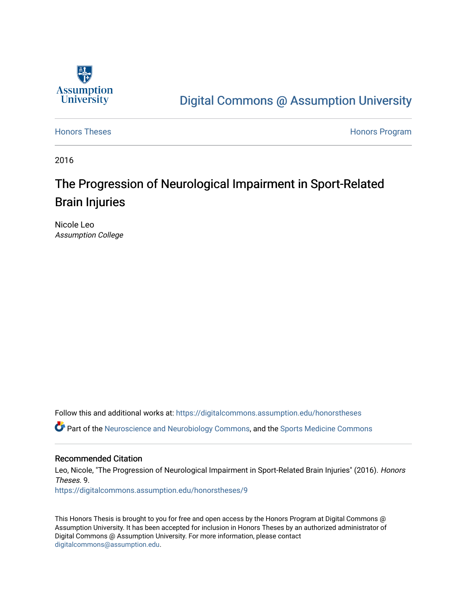

# [Digital Commons @ Assumption University](https://digitalcommons.assumption.edu/)

[Honors Theses](https://digitalcommons.assumption.edu/honorstheses) **Honors** Program

2016

# The Progression of Neurological Impairment in Sport-Related Brain Injuries

Nicole Leo Assumption College

Follow this and additional works at: [https://digitalcommons.assumption.edu/honorstheses](https://digitalcommons.assumption.edu/honorstheses?utm_source=digitalcommons.assumption.edu%2Fhonorstheses%2F9&utm_medium=PDF&utm_campaign=PDFCoverPages)

Part of the [Neuroscience and Neurobiology Commons,](http://network.bepress.com/hgg/discipline/55?utm_source=digitalcommons.assumption.edu%2Fhonorstheses%2F9&utm_medium=PDF&utm_campaign=PDFCoverPages) and the [Sports Medicine Commons](http://network.bepress.com/hgg/discipline/1331?utm_source=digitalcommons.assumption.edu%2Fhonorstheses%2F9&utm_medium=PDF&utm_campaign=PDFCoverPages) 

#### Recommended Citation

Leo, Nicole, "The Progression of Neurological Impairment in Sport-Related Brain Injuries" (2016). Honors Theses. 9. [https://digitalcommons.assumption.edu/honorstheses/9](https://digitalcommons.assumption.edu/honorstheses/9?utm_source=digitalcommons.assumption.edu%2Fhonorstheses%2F9&utm_medium=PDF&utm_campaign=PDFCoverPages) 

This Honors Thesis is brought to you for free and open access by the Honors Program at Digital Commons @ Assumption University. It has been accepted for inclusion in Honors Theses by an authorized administrator of Digital Commons @ Assumption University. For more information, please contact [digitalcommons@assumption.edu](mailto:digitalcommons@assumption.edu).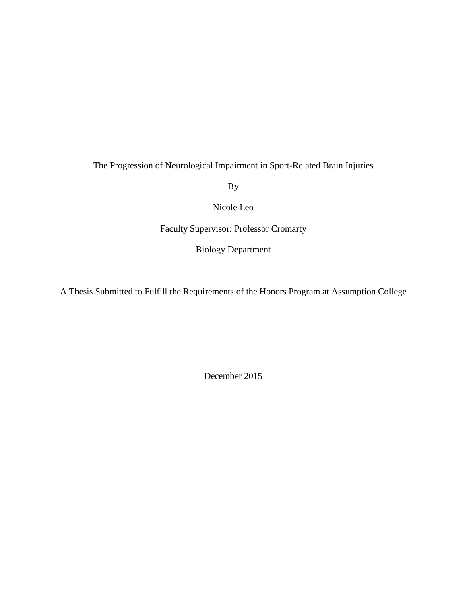The Progression of Neurological Impairment in Sport-Related Brain Injuries

By

Nicole Leo

Faculty Supervisor: Professor Cromarty

Biology Department

A Thesis Submitted to Fulfill the Requirements of the Honors Program at Assumption College

December 2015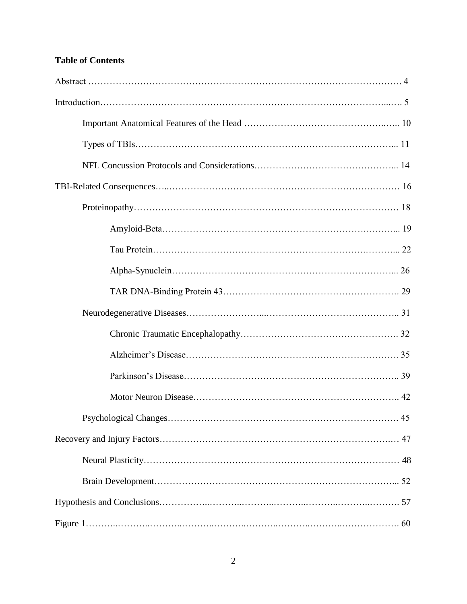## **Table of Contents**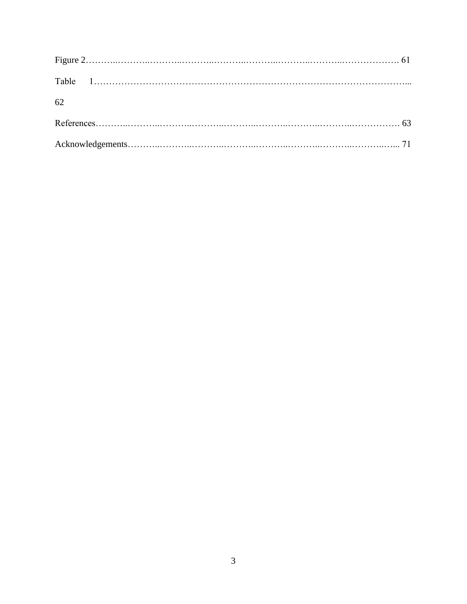| 62 |  |
|----|--|
|    |  |
|    |  |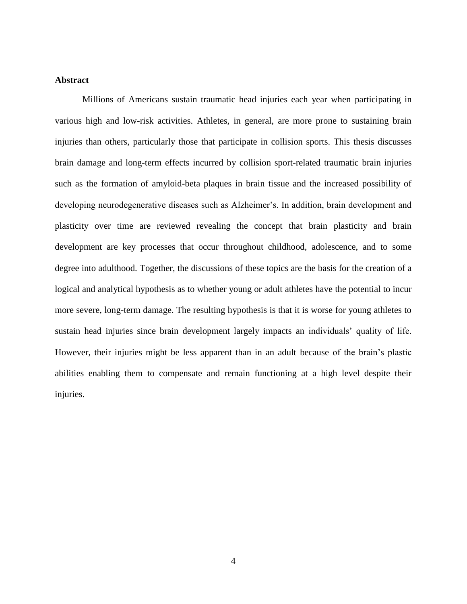### **Abstract**

Millions of Americans sustain traumatic head injuries each year when participating in various high and low-risk activities. Athletes, in general, are more prone to sustaining brain injuries than others, particularly those that participate in collision sports. This thesis discusses brain damage and long-term effects incurred by collision sport-related traumatic brain injuries such as the formation of amyloid-beta plaques in brain tissue and the increased possibility of developing neurodegenerative diseases such as Alzheimer's. In addition, brain development and plasticity over time are reviewed revealing the concept that brain plasticity and brain development are key processes that occur throughout childhood, adolescence, and to some degree into adulthood. Together, the discussions of these topics are the basis for the creation of a logical and analytical hypothesis as to whether young or adult athletes have the potential to incur more severe, long-term damage. The resulting hypothesis is that it is worse for young athletes to sustain head injuries since brain development largely impacts an individuals' quality of life. However, their injuries might be less apparent than in an adult because of the brain's plastic abilities enabling them to compensate and remain functioning at a high level despite their injuries.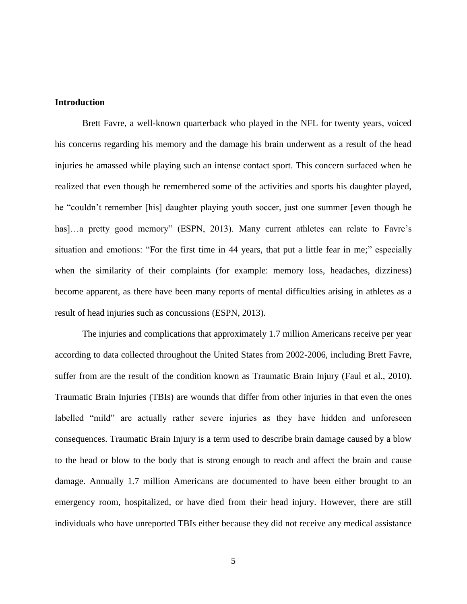#### **Introduction**

Brett Favre, a well-known quarterback who played in the NFL for twenty years, voiced his concerns regarding his memory and the damage his brain underwent as a result of the head injuries he amassed while playing such an intense contact sport. This concern surfaced when he realized that even though he remembered some of the activities and sports his daughter played, he "couldn't remember [his] daughter playing youth soccer, just one summer [even though he has]...a pretty good memory" (ESPN, 2013). Many current athletes can relate to Favre's situation and emotions: "For the first time in 44 years, that put a little fear in me;" especially when the similarity of their complaints (for example: memory loss, headaches, dizziness) become apparent, as there have been many reports of mental difficulties arising in athletes as a result of head injuries such as concussions (ESPN, 2013).

The injuries and complications that approximately 1.7 million Americans receive per year according to data collected throughout the United States from 2002-2006, including Brett Favre, suffer from are the result of the condition known as Traumatic Brain Injury (Faul et al., 2010). Traumatic Brain Injuries (TBIs) are wounds that differ from other injuries in that even the ones labelled "mild" are actually rather severe injuries as they have hidden and unforeseen consequences. Traumatic Brain Injury is a term used to describe brain damage caused by a blow to the head or blow to the body that is strong enough to reach and affect the brain and cause damage. Annually 1.7 million Americans are documented to have been either brought to an emergency room, hospitalized, or have died from their head injury. However, there are still individuals who have unreported TBIs either because they did not receive any medical assistance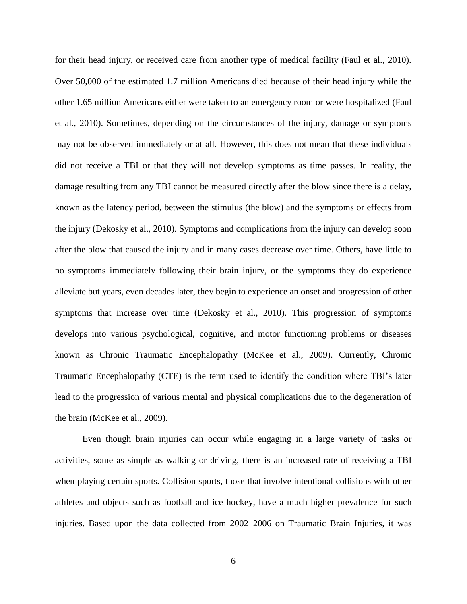for their head injury, or received care from another type of medical facility (Faul et al., 2010). Over 50,000 of the estimated 1.7 million Americans died because of their head injury while the other 1.65 million Americans either were taken to an emergency room or were hospitalized (Faul et al., 2010). Sometimes, depending on the circumstances of the injury, damage or symptoms may not be observed immediately or at all. However, this does not mean that these individuals did not receive a TBI or that they will not develop symptoms as time passes. In reality, the damage resulting from any TBI cannot be measured directly after the blow since there is a delay, known as the latency period, between the stimulus (the blow) and the symptoms or effects from the injury (Dekosky et al., 2010). Symptoms and complications from the injury can develop soon after the blow that caused the injury and in many cases decrease over time. Others, have little to no symptoms immediately following their brain injury, or the symptoms they do experience alleviate but years, even decades later, they begin to experience an onset and progression of other symptoms that increase over time (Dekosky et al., 2010). This progression of symptoms develops into various psychological, cognitive, and motor functioning problems or diseases known as Chronic Traumatic Encephalopathy (McKee et al., 2009). Currently, Chronic Traumatic Encephalopathy (CTE) is the term used to identify the condition where TBI's later lead to the progression of various mental and physical complications due to the degeneration of the brain (McKee et al., 2009).

Even though brain injuries can occur while engaging in a large variety of tasks or activities, some as simple as walking or driving, there is an increased rate of receiving a TBI when playing certain sports. Collision sports, those that involve intentional collisions with other athletes and objects such as football and ice hockey, have a much higher prevalence for such injuries. Based upon the data collected from 2002–2006 on Traumatic Brain Injuries, it was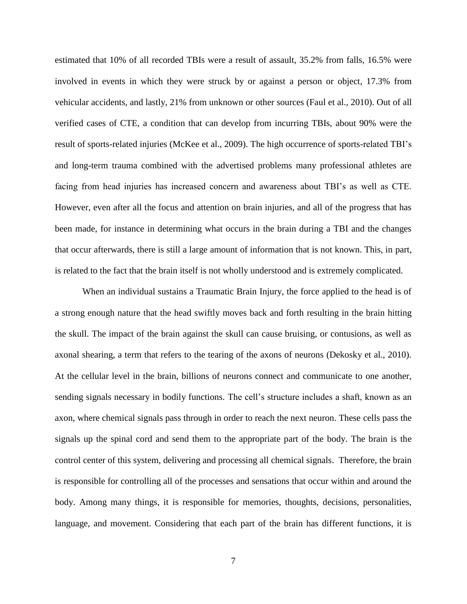estimated that 10% of all recorded TBIs were a result of assault, 35.2% from falls, 16.5% were involved in events in which they were struck by or against a person or object, 17.3% from vehicular accidents, and lastly, 21% from unknown or other sources (Faul et al., 2010). Out of all verified cases of CTE, a condition that can develop from incurring TBIs, about 90% were the result of sports-related injuries (McKee et al., 2009). The high occurrence of sports-related TBI's and long-term trauma combined with the advertised problems many professional athletes are facing from head injuries has increased concern and awareness about TBI's as well as CTE. However, even after all the focus and attention on brain injuries, and all of the progress that has been made, for instance in determining what occurs in the brain during a TBI and the changes that occur afterwards, there is still a large amount of information that is not known. This, in part, is related to the fact that the brain itself is not wholly understood and is extremely complicated.

When an individual sustains a Traumatic Brain Injury, the force applied to the head is of a strong enough nature that the head swiftly moves back and forth resulting in the brain hitting the skull. The impact of the brain against the skull can cause bruising, or contusions, as well as axonal shearing, a term that refers to the tearing of the axons of neurons (Dekosky et al., 2010). At the cellular level in the brain, billions of neurons connect and communicate to one another, sending signals necessary in bodily functions. The cell's structure includes a shaft, known as an axon, where chemical signals pass through in order to reach the next neuron. These cells pass the signals up the spinal cord and send them to the appropriate part of the body. The brain is the control center of this system, delivering and processing all chemical signals. Therefore, the brain is responsible for controlling all of the processes and sensations that occur within and around the body. Among many things, it is responsible for memories, thoughts, decisions, personalities, language, and movement. Considering that each part of the brain has different functions, it is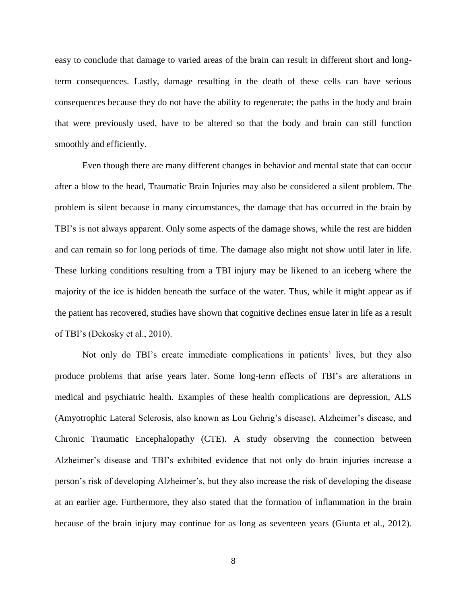easy to conclude that damage to varied areas of the brain can result in different short and longterm consequences. Lastly, damage resulting in the death of these cells can have serious consequences because they do not have the ability to regenerate; the paths in the body and brain that were previously used, have to be altered so that the body and brain can still function smoothly and efficiently.

Even though there are many different changes in behavior and mental state that can occur after a blow to the head, Traumatic Brain Injuries may also be considered a silent problem. The problem is silent because in many circumstances, the damage that has occurred in the brain by TBI's is not always apparent. Only some aspects of the damage shows, while the rest are hidden and can remain so for long periods of time. The damage also might not show until later in life. These lurking conditions resulting from a TBI injury may be likened to an iceberg where the majority of the ice is hidden beneath the surface of the water. Thus, while it might appear as if the patient has recovered, studies have shown that cognitive declines ensue later in life as a result of TBI's (Dekosky et al., 2010).

Not only do TBI's create immediate complications in patients' lives, but they also produce problems that arise years later. Some long-term effects of TBI's are alterations in medical and psychiatric health. Examples of these health complications are depression, ALS (Amyotrophic Lateral Sclerosis, also known as Lou Gehrig's disease), Alzheimer's disease, and Chronic Traumatic Encephalopathy (CTE). A study observing the connection between Alzheimer's disease and TBI's exhibited evidence that not only do brain injuries increase a person's risk of developing Alzheimer's, but they also increase the risk of developing the disease at an earlier age. Furthermore, they also stated that the formation of inflammation in the brain because of the brain injury may continue for as long as seventeen years (Giunta et al., 2012).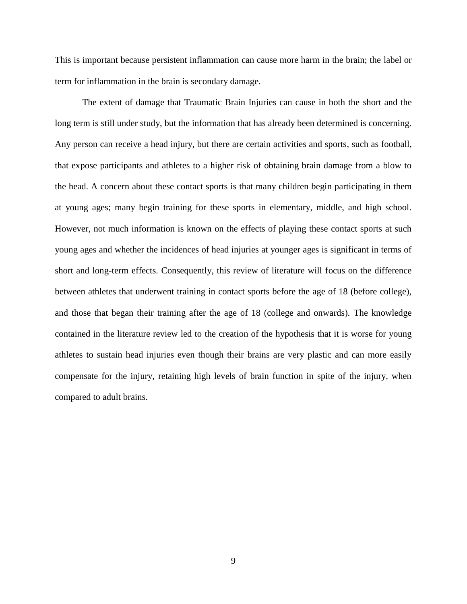This is important because persistent inflammation can cause more harm in the brain; the label or term for inflammation in the brain is secondary damage.

The extent of damage that Traumatic Brain Injuries can cause in both the short and the long term is still under study, but the information that has already been determined is concerning. Any person can receive a head injury, but there are certain activities and sports, such as football, that expose participants and athletes to a higher risk of obtaining brain damage from a blow to the head. A concern about these contact sports is that many children begin participating in them at young ages; many begin training for these sports in elementary, middle, and high school. However, not much information is known on the effects of playing these contact sports at such young ages and whether the incidences of head injuries at younger ages is significant in terms of short and long-term effects. Consequently, this review of literature will focus on the difference between athletes that underwent training in contact sports before the age of 18 (before college), and those that began their training after the age of 18 (college and onwards). The knowledge contained in the literature review led to the creation of the hypothesis that it is worse for young athletes to sustain head injuries even though their brains are very plastic and can more easily compensate for the injury, retaining high levels of brain function in spite of the injury, when compared to adult brains.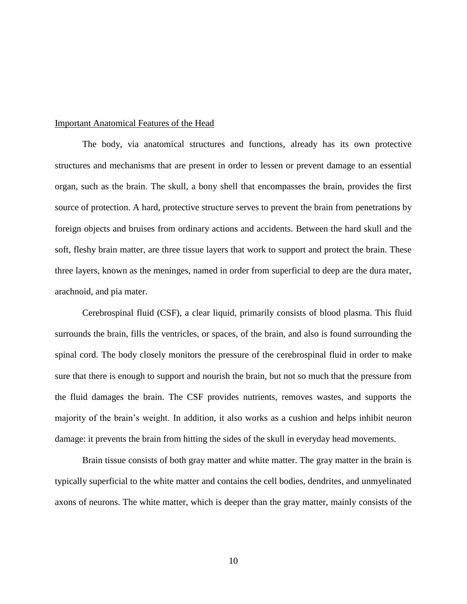#### Important Anatomical Features of the Head

The body, via anatomical structures and functions, already has its own protective structures and mechanisms that are present in order to lessen or prevent damage to an essential organ, such as the brain. The skull, a bony shell that encompasses the brain, provides the first source of protection. A hard, protective structure serves to prevent the brain from penetrations by foreign objects and bruises from ordinary actions and accidents. Between the hard skull and the soft, fleshy brain matter, are three tissue layers that work to support and protect the brain. These three layers, known as the meninges, named in order from superficial to deep are the dura mater, arachnoid, and pia mater.

Cerebrospinal fluid (CSF), a clear liquid, primarily consists of blood plasma. This fluid surrounds the brain, fills the ventricles, or spaces, of the brain, and also is found surrounding the spinal cord. The body closely monitors the pressure of the cerebrospinal fluid in order to make sure that there is enough to support and nourish the brain, but not so much that the pressure from the fluid damages the brain. The CSF provides nutrients, removes wastes, and supports the majority of the brain's weight. In addition, it also works as a cushion and helps inhibit neuron damage: it prevents the brain from hitting the sides of the skull in everyday head movements.

Brain tissue consists of both gray matter and white matter. The gray matter in the brain is typically superficial to the white matter and contains the cell bodies, dendrites, and unmyelinated axons of neurons. The white matter, which is deeper than the gray matter, mainly consists of the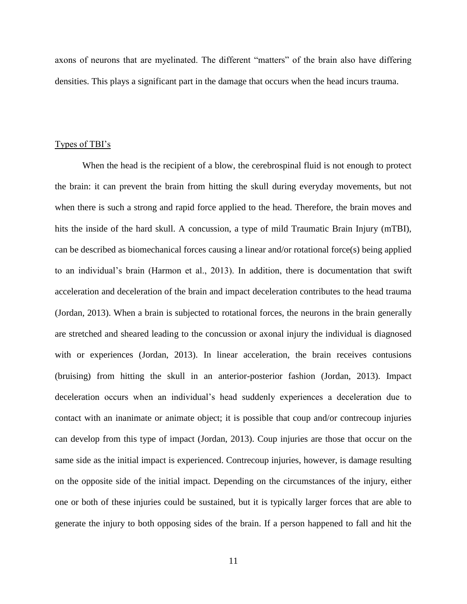axons of neurons that are myelinated. The different "matters" of the brain also have differing densities. This plays a significant part in the damage that occurs when the head incurs trauma.

#### Types of TBI's

When the head is the recipient of a blow, the cerebrospinal fluid is not enough to protect the brain: it can prevent the brain from hitting the skull during everyday movements, but not when there is such a strong and rapid force applied to the head. Therefore, the brain moves and hits the inside of the hard skull. A concussion, a type of mild Traumatic Brain Injury (mTBI), can be described as biomechanical forces causing a linear and/or rotational force(s) being applied to an individual's brain (Harmon et al., 2013). In addition, there is documentation that swift acceleration and deceleration of the brain and impact deceleration contributes to the head trauma (Jordan, 2013). When a brain is subjected to rotational forces, the neurons in the brain generally are stretched and sheared leading to the concussion or axonal injury the individual is diagnosed with or experiences (Jordan, 2013). In linear acceleration, the brain receives contusions (bruising) from hitting the skull in an anterior-posterior fashion (Jordan, 2013). Impact deceleration occurs when an individual's head suddenly experiences a deceleration due to contact with an inanimate or animate object; it is possible that coup and/or contrecoup injuries can develop from this type of impact (Jordan, 2013). Coup injuries are those that occur on the same side as the initial impact is experienced. Contrecoup injuries, however, is damage resulting on the opposite side of the initial impact. Depending on the circumstances of the injury, either one or both of these injuries could be sustained, but it is typically larger forces that are able to generate the injury to both opposing sides of the brain. If a person happened to fall and hit the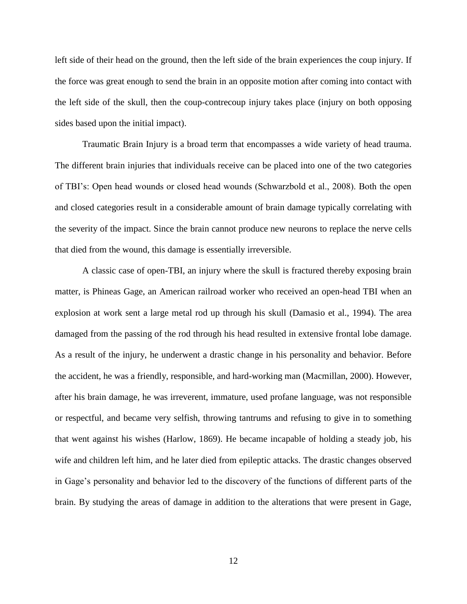left side of their head on the ground, then the left side of the brain experiences the coup injury. If the force was great enough to send the brain in an opposite motion after coming into contact with the left side of the skull, then the coup-contrecoup injury takes place (injury on both opposing sides based upon the initial impact).

Traumatic Brain Injury is a broad term that encompasses a wide variety of head trauma. The different brain injuries that individuals receive can be placed into one of the two categories of TBI's: Open head wounds or closed head wounds (Schwarzbold et al., 2008). Both the open and closed categories result in a considerable amount of brain damage typically correlating with the severity of the impact. Since the brain cannot produce new neurons to replace the nerve cells that died from the wound, this damage is essentially irreversible.

A classic case of open-TBI, an injury where the skull is fractured thereby exposing brain matter, is Phineas Gage, an American railroad worker who received an open-head TBI when an explosion at work sent a large metal rod up through his skull (Damasio et al., 1994). The area damaged from the passing of the rod through his head resulted in extensive frontal lobe damage. As a result of the injury, he underwent a drastic change in his personality and behavior. Before the accident, he was a friendly, responsible, and hard-working man (Macmillan, 2000). However, after his brain damage, he was irreverent, immature, used profane language, was not responsible or respectful, and became very selfish, throwing tantrums and refusing to give in to something that went against his wishes (Harlow, 1869). He became incapable of holding a steady job, his wife and children left him, and he later died from epileptic attacks. The drastic changes observed in Gage's personality and behavior led to the discovery of the functions of different parts of the brain. By studying the areas of damage in addition to the alterations that were present in Gage,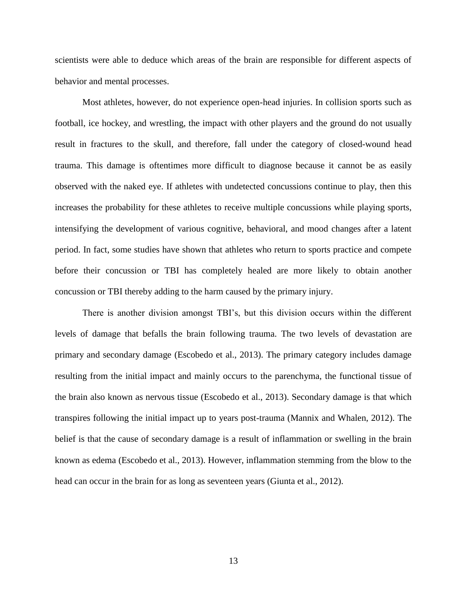scientists were able to deduce which areas of the brain are responsible for different aspects of behavior and mental processes.

Most athletes, however, do not experience open-head injuries. In collision sports such as football, ice hockey, and wrestling, the impact with other players and the ground do not usually result in fractures to the skull, and therefore, fall under the category of closed-wound head trauma. This damage is oftentimes more difficult to diagnose because it cannot be as easily observed with the naked eye. If athletes with undetected concussions continue to play, then this increases the probability for these athletes to receive multiple concussions while playing sports, intensifying the development of various cognitive, behavioral, and mood changes after a latent period. In fact, some studies have shown that athletes who return to sports practice and compete before their concussion or TBI has completely healed are more likely to obtain another concussion or TBI thereby adding to the harm caused by the primary injury.

There is another division amongst TBI's, but this division occurs within the different levels of damage that befalls the brain following trauma. The two levels of devastation are primary and secondary damage (Escobedo et al., 2013). The primary category includes damage resulting from the initial impact and mainly occurs to the parenchyma, the functional tissue of the brain also known as nervous tissue (Escobedo et al., 2013). Secondary damage is that which transpires following the initial impact up to years post-trauma (Mannix and Whalen, 2012). The belief is that the cause of secondary damage is a result of inflammation or swelling in the brain known as edema (Escobedo et al., 2013). However, inflammation stemming from the blow to the head can occur in the brain for as long as seventeen years (Giunta et al., 2012).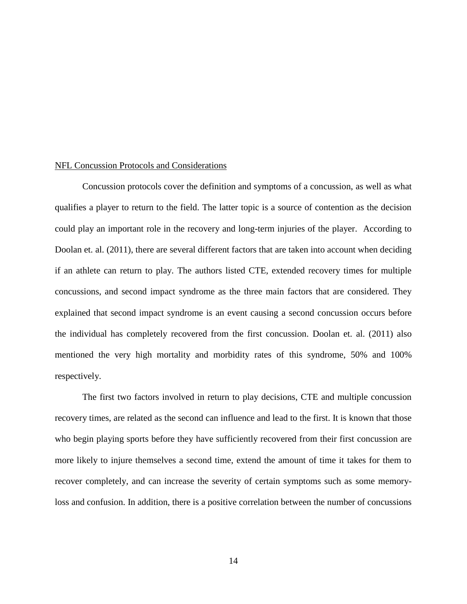#### NFL Concussion Protocols and Considerations

Concussion protocols cover the definition and symptoms of a concussion, as well as what qualifies a player to return to the field. The latter topic is a source of contention as the decision could play an important role in the recovery and long-term injuries of the player. According to Doolan et. al. (2011), there are several different factors that are taken into account when deciding if an athlete can return to play. The authors listed CTE, extended recovery times for multiple concussions, and second impact syndrome as the three main factors that are considered. They explained that second impact syndrome is an event causing a second concussion occurs before the individual has completely recovered from the first concussion. Doolan et. al. (2011) also mentioned the very high mortality and morbidity rates of this syndrome, 50% and 100% respectively.

The first two factors involved in return to play decisions, CTE and multiple concussion recovery times, are related as the second can influence and lead to the first. It is known that those who begin playing sports before they have sufficiently recovered from their first concussion are more likely to injure themselves a second time, extend the amount of time it takes for them to recover completely, and can increase the severity of certain symptoms such as some memoryloss and confusion. In addition, there is a positive correlation between the number of concussions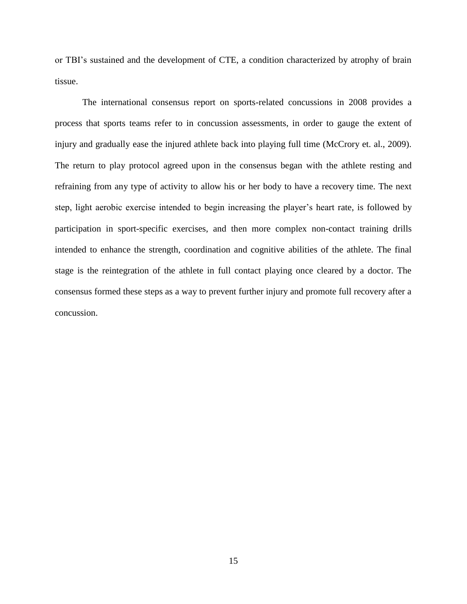or TBI's sustained and the development of CTE, a condition characterized by atrophy of brain tissue.

The international consensus report on sports-related concussions in 2008 provides a process that sports teams refer to in concussion assessments, in order to gauge the extent of injury and gradually ease the injured athlete back into playing full time (McCrory et. al., 2009). The return to play protocol agreed upon in the consensus began with the athlete resting and refraining from any type of activity to allow his or her body to have a recovery time. The next step, light aerobic exercise intended to begin increasing the player's heart rate, is followed by participation in sport-specific exercises, and then more complex non-contact training drills intended to enhance the strength, coordination and cognitive abilities of the athlete. The final stage is the reintegration of the athlete in full contact playing once cleared by a doctor. The consensus formed these steps as a way to prevent further injury and promote full recovery after a concussion.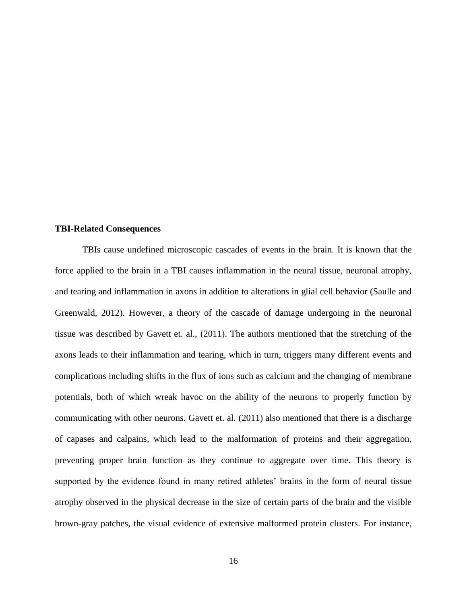#### **TBI-Related Consequences**

TBIs cause undefined microscopic cascades of events in the brain. It is known that the force applied to the brain in a TBI causes inflammation in the neural tissue, neuronal atrophy, and tearing and inflammation in axons in addition to alterations in glial cell behavior (Saulle and Greenwald, 2012). However, a theory of the cascade of damage undergoing in the neuronal tissue was described by Gavett et. al., (2011). The authors mentioned that the stretching of the axons leads to their inflammation and tearing, which in turn, triggers many different events and complications including shifts in the flux of ions such as calcium and the changing of membrane potentials, both of which wreak havoc on the ability of the neurons to properly function by communicating with other neurons. Gavett et. al. (2011) also mentioned that there is a discharge of capases and calpains, which lead to the malformation of proteins and their aggregation, preventing proper brain function as they continue to aggregate over time. This theory is supported by the evidence found in many retired athletes' brains in the form of neural tissue atrophy observed in the physical decrease in the size of certain parts of the brain and the visible brown-gray patches, the visual evidence of extensive malformed protein clusters. For instance,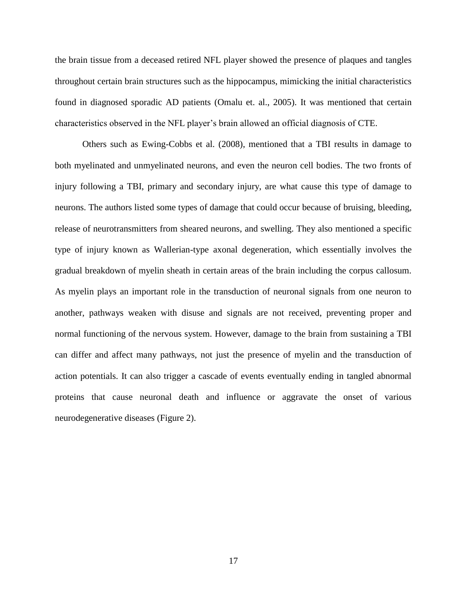the brain tissue from a deceased retired NFL player showed the presence of plaques and tangles throughout certain brain structures such as the hippocampus, mimicking the initial characteristics found in diagnosed sporadic AD patients (Omalu et. al., 2005). It was mentioned that certain characteristics observed in the NFL player's brain allowed an official diagnosis of CTE.

Others such as Ewing-Cobbs et al. (2008), mentioned that a TBI results in damage to both myelinated and unmyelinated neurons, and even the neuron cell bodies. The two fronts of injury following a TBI, primary and secondary injury, are what cause this type of damage to neurons. The authors listed some types of damage that could occur because of bruising, bleeding, release of neurotransmitters from sheared neurons, and swelling. They also mentioned a specific type of injury known as Wallerian-type axonal degeneration, which essentially involves the gradual breakdown of myelin sheath in certain areas of the brain including the corpus callosum. As myelin plays an important role in the transduction of neuronal signals from one neuron to another, pathways weaken with disuse and signals are not received, preventing proper and normal functioning of the nervous system. However, damage to the brain from sustaining a TBI can differ and affect many pathways, not just the presence of myelin and the transduction of action potentials. It can also trigger a cascade of events eventually ending in tangled abnormal proteins that cause neuronal death and influence or aggravate the onset of various neurodegenerative diseases (Figure 2).

17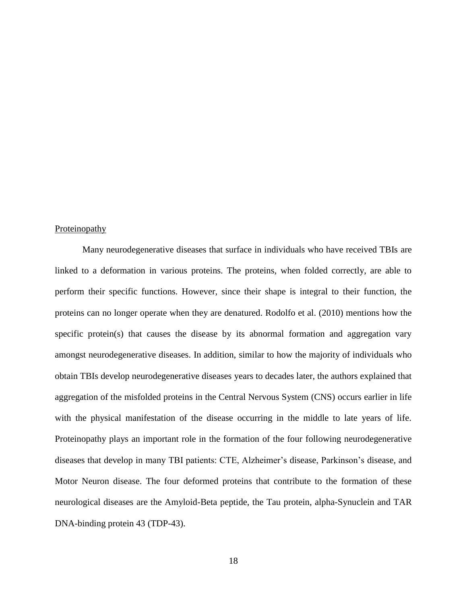#### **Proteinopathy**

Many neurodegenerative diseases that surface in individuals who have received TBIs are linked to a deformation in various proteins. The proteins, when folded correctly, are able to perform their specific functions. However, since their shape is integral to their function, the proteins can no longer operate when they are denatured. Rodolfo et al. (2010) mentions how the specific protein(s) that causes the disease by its abnormal formation and aggregation vary amongst neurodegenerative diseases. In addition, similar to how the majority of individuals who obtain TBIs develop neurodegenerative diseases years to decades later, the authors explained that aggregation of the misfolded proteins in the Central Nervous System (CNS) occurs earlier in life with the physical manifestation of the disease occurring in the middle to late years of life. Proteinopathy plays an important role in the formation of the four following neurodegenerative diseases that develop in many TBI patients: CTE, Alzheimer's disease, Parkinson's disease, and Motor Neuron disease. The four deformed proteins that contribute to the formation of these neurological diseases are the Amyloid-Beta peptide, the Tau protein, alpha-Synuclein and TAR DNA-binding protein 43 (TDP-43).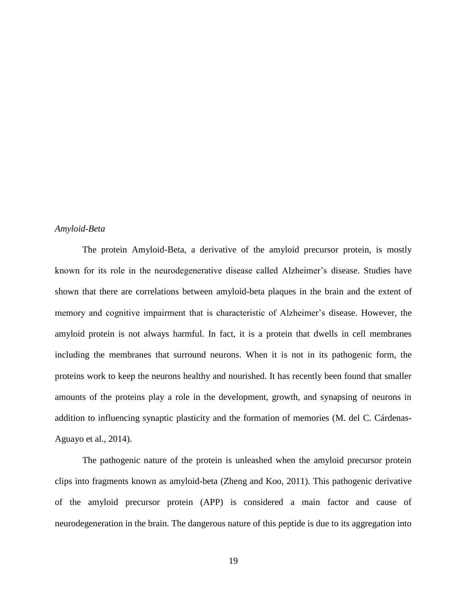#### *Amyloid-Beta*

The protein Amyloid-Beta, a derivative of the amyloid precursor protein, is mostly known for its role in the neurodegenerative disease called Alzheimer's disease. Studies have shown that there are correlations between amyloid-beta plaques in the brain and the extent of memory and cognitive impairment that is characteristic of Alzheimer's disease. However, the amyloid protein is not always harmful. In fact, it is a protein that dwells in cell membranes including the membranes that surround neurons. When it is not in its pathogenic form, the proteins work to keep the neurons healthy and nourished. It has recently been found that smaller amounts of the proteins play a role in the development, growth, and synapsing of neurons in addition to influencing synaptic plasticity and the formation of memories (M. del C. Cárdenas-Aguayo et al., 2014).

The pathogenic nature of the protein is unleashed when the amyloid precursor protein clips into fragments known as amyloid-beta (Zheng and Koo, 2011). This pathogenic derivative of the amyloid precursor protein (APP) is considered a main factor and cause of neurodegeneration in the brain. The dangerous nature of this peptide is due to its aggregation into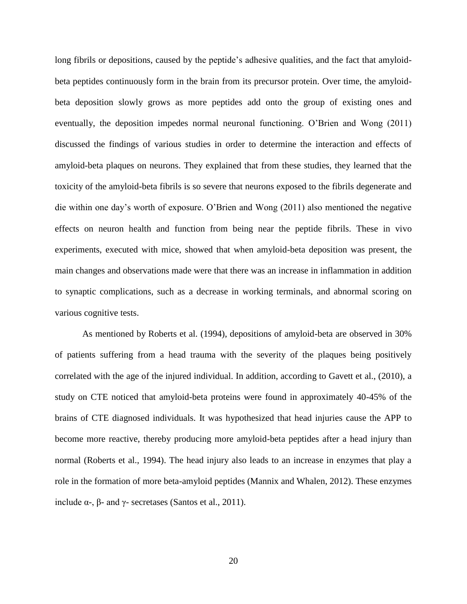long fibrils or depositions, caused by the peptide's adhesive qualities, and the fact that amyloidbeta peptides continuously form in the brain from its precursor protein. Over time, the amyloidbeta deposition slowly grows as more peptides add onto the group of existing ones and eventually, the deposition impedes normal neuronal functioning. O'Brien and Wong (2011) discussed the findings of various studies in order to determine the interaction and effects of amyloid-beta plaques on neurons. They explained that from these studies, they learned that the toxicity of the amyloid-beta fibrils is so severe that neurons exposed to the fibrils degenerate and die within one day's worth of exposure. O'Brien and Wong (2011) also mentioned the negative effects on neuron health and function from being near the peptide fibrils. These in vivo experiments, executed with mice, showed that when amyloid-beta deposition was present, the main changes and observations made were that there was an increase in inflammation in addition to synaptic complications, such as a decrease in working terminals, and abnormal scoring on various cognitive tests.

As mentioned by Roberts et al. (1994), depositions of amyloid-beta are observed in 30% of patients suffering from a head trauma with the severity of the plaques being positively correlated with the age of the injured individual. In addition, according to Gavett et al., (2010), a study on CTE noticed that amyloid-beta proteins were found in approximately 40-45% of the brains of CTE diagnosed individuals. It was hypothesized that head injuries cause the APP to become more reactive, thereby producing more amyloid-beta peptides after a head injury than normal (Roberts et al., 1994). The head injury also leads to an increase in enzymes that play a role in the formation of more beta-amyloid peptides (Mannix and Whalen, 2012). These enzymes include α-, β- and γ- secretases (Santos et al., 2011).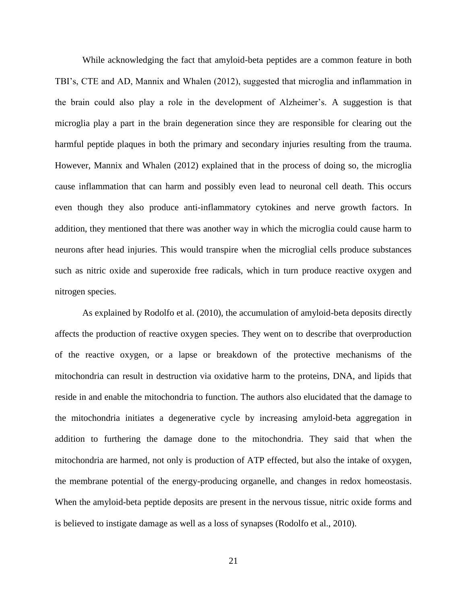While acknowledging the fact that amyloid-beta peptides are a common feature in both TBI's, CTE and AD, Mannix and Whalen (2012), suggested that microglia and inflammation in the brain could also play a role in the development of Alzheimer's. A suggestion is that microglia play a part in the brain degeneration since they are responsible for clearing out the harmful peptide plaques in both the primary and secondary injuries resulting from the trauma. However, Mannix and Whalen (2012) explained that in the process of doing so, the microglia cause inflammation that can harm and possibly even lead to neuronal cell death. This occurs even though they also produce anti-inflammatory cytokines and nerve growth factors. In addition, they mentioned that there was another way in which the microglia could cause harm to neurons after head injuries. This would transpire when the microglial cells produce substances such as nitric oxide and superoxide free radicals, which in turn produce reactive oxygen and nitrogen species.

As explained by Rodolfo et al. (2010), the accumulation of amyloid-beta deposits directly affects the production of reactive oxygen species. They went on to describe that overproduction of the reactive oxygen, or a lapse or breakdown of the protective mechanisms of the mitochondria can result in destruction via oxidative harm to the proteins, DNA, and lipids that reside in and enable the mitochondria to function. The authors also elucidated that the damage to the mitochondria initiates a degenerative cycle by increasing amyloid-beta aggregation in addition to furthering the damage done to the mitochondria. They said that when the mitochondria are harmed, not only is production of ATP effected, but also the intake of oxygen, the membrane potential of the energy-producing organelle, and changes in redox homeostasis. When the amyloid-beta peptide deposits are present in the nervous tissue, nitric oxide forms and is believed to instigate damage as well as a loss of synapses (Rodolfo et al., 2010).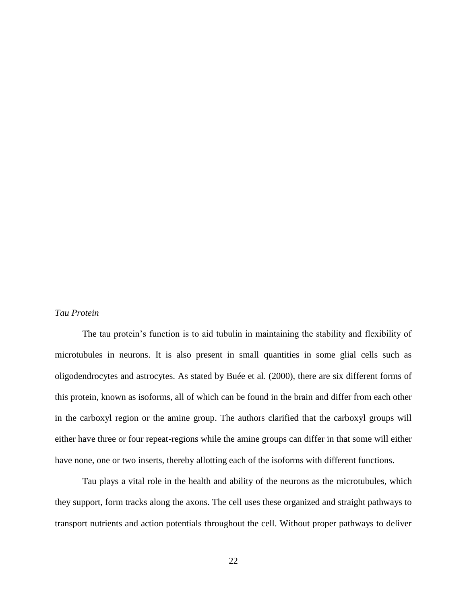#### *Tau Protein*

The tau protein's function is to aid tubulin in maintaining the stability and flexibility of microtubules in neurons. It is also present in small quantities in some glial cells such as oligodendrocytes and astrocytes. As stated by Buée et al. (2000), there are six different forms of this protein, known as isoforms, all of which can be found in the brain and differ from each other in the carboxyl region or the amine group. The authors clarified that the carboxyl groups will either have three or four repeat-regions while the amine groups can differ in that some will either have none, one or two inserts, thereby allotting each of the isoforms with different functions.

Tau plays a vital role in the health and ability of the neurons as the microtubules, which they support, form tracks along the axons. The cell uses these organized and straight pathways to transport nutrients and action potentials throughout the cell. Without proper pathways to deliver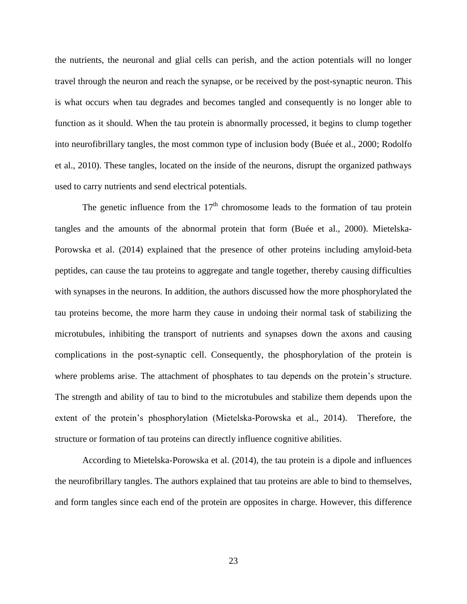the nutrients, the neuronal and glial cells can perish, and the action potentials will no longer travel through the neuron and reach the synapse, or be received by the post-synaptic neuron. This is what occurs when tau degrades and becomes tangled and consequently is no longer able to function as it should. When the tau protein is abnormally processed, it begins to clump together into neurofibrillary tangles, the most common type of inclusion body (Buée et al., 2000; Rodolfo et al., 2010). These tangles, located on the inside of the neurons, disrupt the organized pathways used to carry nutrients and send electrical potentials.

The genetic influence from the  $17<sup>th</sup>$  chromosome leads to the formation of tau protein tangles and the amounts of the abnormal protein that form (Buée et al., 2000). Mietelska-Porowska et al. (2014) explained that the presence of other proteins including amyloid-beta peptides, can cause the tau proteins to aggregate and tangle together, thereby causing difficulties with synapses in the neurons. In addition, the authors discussed how the more phosphorylated the tau proteins become, the more harm they cause in undoing their normal task of stabilizing the microtubules, inhibiting the transport of nutrients and synapses down the axons and causing complications in the post-synaptic cell. Consequently, the phosphorylation of the protein is where problems arise. The attachment of phosphates to tau depends on the protein's structure. The strength and ability of tau to bind to the microtubules and stabilize them depends upon the extent of the protein's phosphorylation (Mietelska-Porowska et al., 2014). Therefore, the structure or formation of tau proteins can directly influence cognitive abilities.

According to Mietelska-Porowska et al. (2014), the tau protein is a dipole and influences the neurofibrillary tangles. The authors explained that tau proteins are able to bind to themselves, and form tangles since each end of the protein are opposites in charge. However, this difference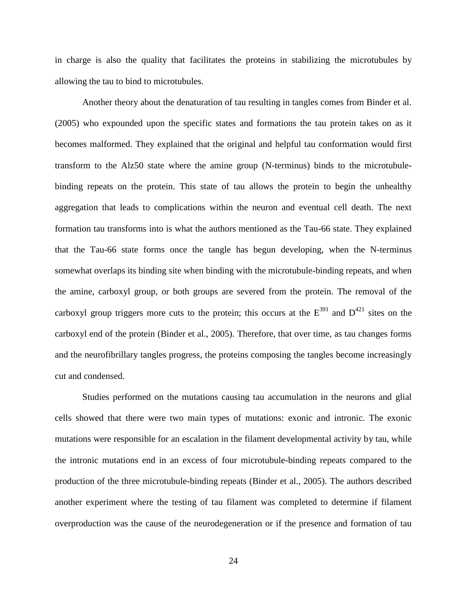in charge is also the quality that facilitates the proteins in stabilizing the microtubules by allowing the tau to bind to microtubules.

Another theory about the denaturation of tau resulting in tangles comes from Binder et al. (2005) who expounded upon the specific states and formations the tau protein takes on as it becomes malformed. They explained that the original and helpful tau conformation would first transform to the Alz50 state where the amine group (N-terminus) binds to the microtubulebinding repeats on the protein. This state of tau allows the protein to begin the unhealthy aggregation that leads to complications within the neuron and eventual cell death. The next formation tau transforms into is what the authors mentioned as the Tau-66 state. They explained that the Tau-66 state forms once the tangle has begun developing, when the N-terminus somewhat overlaps its binding site when binding with the microtubule-binding repeats, and when the amine, carboxyl group, or both groups are severed from the protein. The removal of the carboxyl group triggers more cuts to the protein; this occurs at the  $E^{391}$  and  $D^{421}$  sites on the carboxyl end of the protein (Binder et al., 2005). Therefore, that over time, as tau changes forms and the neurofibrillary tangles progress, the proteins composing the tangles become increasingly cut and condensed.

Studies performed on the mutations causing tau accumulation in the neurons and glial cells showed that there were two main types of mutations: exonic and intronic. The exonic mutations were responsible for an escalation in the filament developmental activity by tau, while the intronic mutations end in an excess of four microtubule-binding repeats compared to the production of the three microtubule-binding repeats (Binder et al., 2005). The authors described another experiment where the testing of tau filament was completed to determine if filament overproduction was the cause of the neurodegeneration or if the presence and formation of tau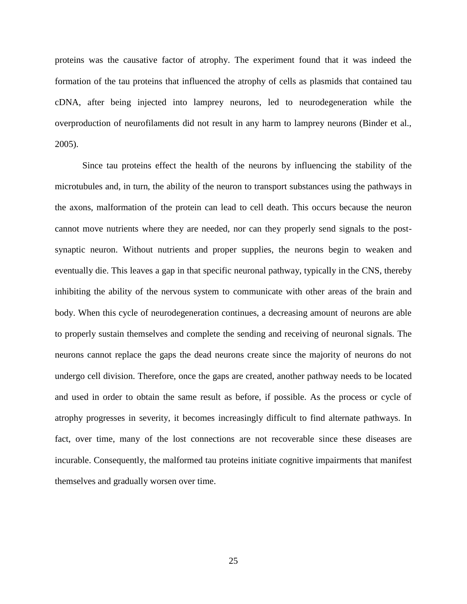proteins was the causative factor of atrophy. The experiment found that it was indeed the formation of the tau proteins that influenced the atrophy of cells as plasmids that contained tau cDNA, after being injected into lamprey neurons, led to neurodegeneration while the overproduction of neurofilaments did not result in any harm to lamprey neurons (Binder et al., 2005).

Since tau proteins effect the health of the neurons by influencing the stability of the microtubules and, in turn, the ability of the neuron to transport substances using the pathways in the axons, malformation of the protein can lead to cell death. This occurs because the neuron cannot move nutrients where they are needed, nor can they properly send signals to the postsynaptic neuron. Without nutrients and proper supplies, the neurons begin to weaken and eventually die. This leaves a gap in that specific neuronal pathway, typically in the CNS, thereby inhibiting the ability of the nervous system to communicate with other areas of the brain and body. When this cycle of neurodegeneration continues, a decreasing amount of neurons are able to properly sustain themselves and complete the sending and receiving of neuronal signals. The neurons cannot replace the gaps the dead neurons create since the majority of neurons do not undergo cell division. Therefore, once the gaps are created, another pathway needs to be located and used in order to obtain the same result as before, if possible. As the process or cycle of atrophy progresses in severity, it becomes increasingly difficult to find alternate pathways. In fact, over time, many of the lost connections are not recoverable since these diseases are incurable. Consequently, the malformed tau proteins initiate cognitive impairments that manifest themselves and gradually worsen over time.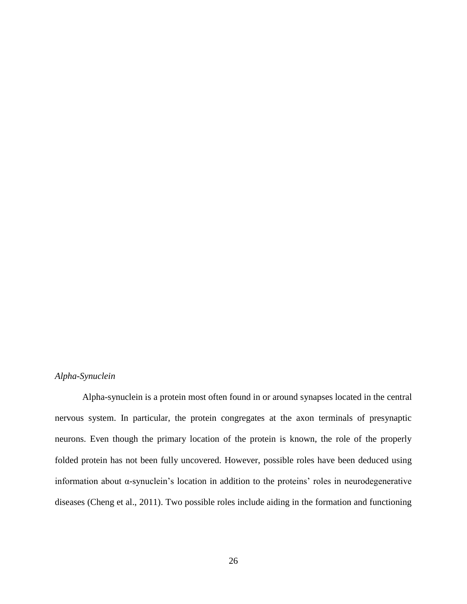## *Alpha-Synuclein*

Alpha-synuclein is a protein most often found in or around synapses located in the central nervous system. In particular, the protein congregates at the axon terminals of presynaptic neurons. Even though the primary location of the protein is known, the role of the properly folded protein has not been fully uncovered. However, possible roles have been deduced using information about α-synuclein's location in addition to the proteins' roles in neurodegenerative diseases (Cheng et al., 2011). Two possible roles include aiding in the formation and functioning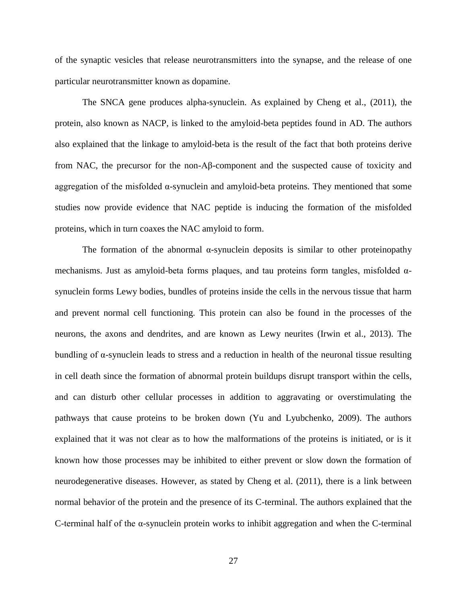of the synaptic vesicles that release neurotransmitters into the synapse, and the release of one particular neurotransmitter known as dopamine.

The SNCA gene produces alpha-synuclein. As explained by Cheng et al., (2011), the protein, also known as NACP, is linked to the amyloid-beta peptides found in AD. The authors also explained that the linkage to amyloid-beta is the result of the fact that both proteins derive from NAC, the precursor for the non-Aβ-component and the suspected cause of toxicity and aggregation of the misfolded  $\alpha$ -synuclein and amyloid-beta proteins. They mentioned that some studies now provide evidence that NAC peptide is inducing the formation of the misfolded proteins, which in turn coaxes the NAC amyloid to form.

The formation of the abnormal  $\alpha$ -synuclein deposits is similar to other proteinopathy mechanisms. Just as amyloid-beta forms plaques, and tau proteins form tangles, misfolded  $\alpha$ synuclein forms Lewy bodies, bundles of proteins inside the cells in the nervous tissue that harm and prevent normal cell functioning. This protein can also be found in the processes of the neurons, the axons and dendrites, and are known as Lewy neurites (Irwin et al., 2013). The bundling of  $\alpha$ -synuclein leads to stress and a reduction in health of the neuronal tissue resulting in cell death since the formation of abnormal protein buildups disrupt transport within the cells, and can disturb other cellular processes in addition to aggravating or overstimulating the pathways that cause proteins to be broken down (Yu and Lyubchenko, 2009). The authors explained that it was not clear as to how the malformations of the proteins is initiated, or is it known how those processes may be inhibited to either prevent or slow down the formation of neurodegenerative diseases. However, as stated by Cheng et al. (2011), there is a link between normal behavior of the protein and the presence of its C-terminal. The authors explained that the C-terminal half of the  $\alpha$ -synuclein protein works to inhibit aggregation and when the C-terminal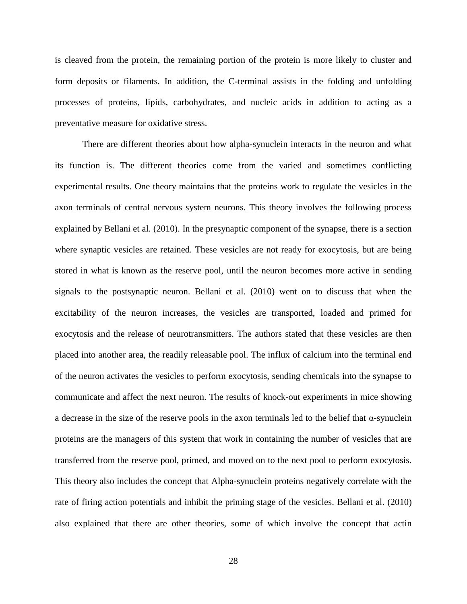is cleaved from the protein, the remaining portion of the protein is more likely to cluster and form deposits or filaments. In addition, the C-terminal assists in the folding and unfolding processes of proteins, lipids, carbohydrates, and nucleic acids in addition to acting as a preventative measure for oxidative stress.

There are different theories about how alpha-synuclein interacts in the neuron and what its function is. The different theories come from the varied and sometimes conflicting experimental results. One theory maintains that the proteins work to regulate the vesicles in the axon terminals of central nervous system neurons. This theory involves the following process explained by Bellani et al. (2010). In the presynaptic component of the synapse, there is a section where synaptic vesicles are retained. These vesicles are not ready for exocytosis, but are being stored in what is known as the reserve pool, until the neuron becomes more active in sending signals to the postsynaptic neuron. Bellani et al. (2010) went on to discuss that when the excitability of the neuron increases, the vesicles are transported, loaded and primed for exocytosis and the release of neurotransmitters. The authors stated that these vesicles are then placed into another area, the readily releasable pool. The influx of calcium into the terminal end of the neuron activates the vesicles to perform exocytosis, sending chemicals into the synapse to communicate and affect the next neuron. The results of knock-out experiments in mice showing a decrease in the size of the reserve pools in the axon terminals led to the belief that  $\alpha$ -synuclein proteins are the managers of this system that work in containing the number of vesicles that are transferred from the reserve pool, primed, and moved on to the next pool to perform exocytosis. This theory also includes the concept that Alpha-synuclein proteins negatively correlate with the rate of firing action potentials and inhibit the priming stage of the vesicles. Bellani et al. (2010) also explained that there are other theories, some of which involve the concept that actin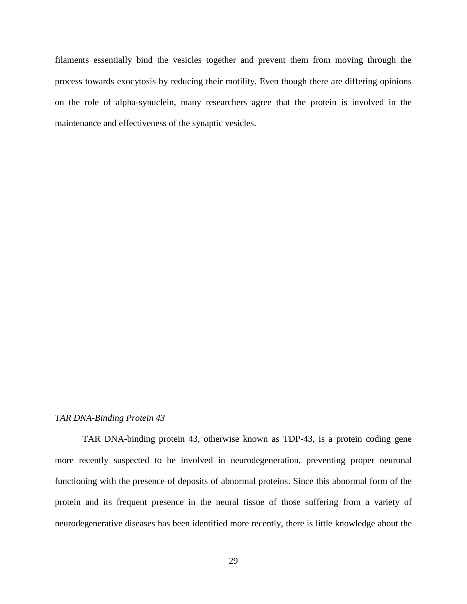filaments essentially bind the vesicles together and prevent them from moving through the process towards exocytosis by reducing their motility. Even though there are differing opinions on the role of alpha-synuclein, many researchers agree that the protein is involved in the maintenance and effectiveness of the synaptic vesicles.

#### *TAR DNA-Binding Protein 43*

TAR DNA-binding protein 43, otherwise known as TDP-43, is a protein coding gene more recently suspected to be involved in neurodegeneration, preventing proper neuronal functioning with the presence of deposits of abnormal proteins. Since this abnormal form of the protein and its frequent presence in the neural tissue of those suffering from a variety of neurodegenerative diseases has been identified more recently, there is little knowledge about the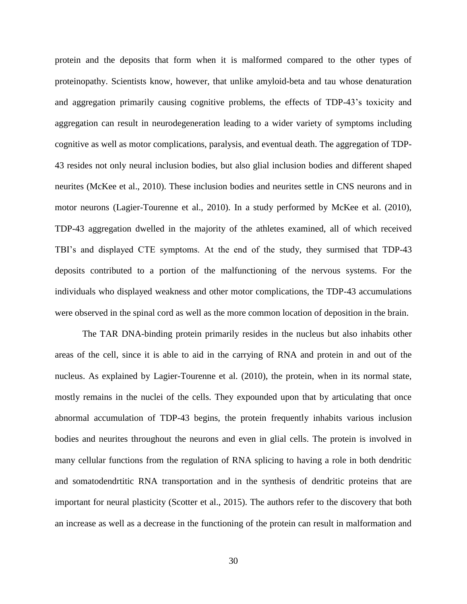protein and the deposits that form when it is malformed compared to the other types of proteinopathy. Scientists know, however, that unlike amyloid-beta and tau whose denaturation and aggregation primarily causing cognitive problems, the effects of TDP-43's toxicity and aggregation can result in neurodegeneration leading to a wider variety of symptoms including cognitive as well as motor complications, paralysis, and eventual death. The aggregation of TDP-43 resides not only neural inclusion bodies, but also glial inclusion bodies and different shaped neurites (McKee et al., 2010). These inclusion bodies and neurites settle in CNS neurons and in motor neurons (Lagier-Tourenne et al., 2010). In a study performed by McKee et al. (2010), TDP-43 aggregation dwelled in the majority of the athletes examined, all of which received TBI's and displayed CTE symptoms. At the end of the study, they surmised that TDP-43 deposits contributed to a portion of the malfunctioning of the nervous systems. For the individuals who displayed weakness and other motor complications, the TDP-43 accumulations were observed in the spinal cord as well as the more common location of deposition in the brain.

The TAR DNA-binding protein primarily resides in the nucleus but also inhabits other areas of the cell, since it is able to aid in the carrying of RNA and protein in and out of the nucleus. As explained by Lagier-Tourenne et al. (2010), the protein, when in its normal state, mostly remains in the nuclei of the cells. They expounded upon that by articulating that once abnormal accumulation of TDP-43 begins, the protein frequently inhabits various inclusion bodies and neurites throughout the neurons and even in glial cells. The protein is involved in many cellular functions from the regulation of RNA splicing to having a role in both dendritic and somatodendrtitic RNA transportation and in the synthesis of dendritic proteins that are important for neural plasticity (Scotter et al., 2015). The authors refer to the discovery that both an increase as well as a decrease in the functioning of the protein can result in malformation and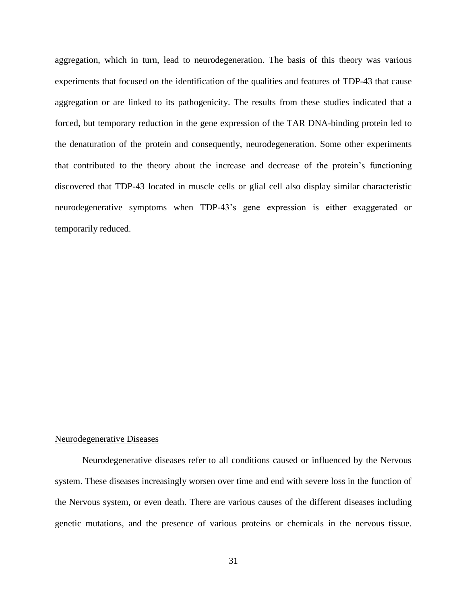aggregation, which in turn, lead to neurodegeneration. The basis of this theory was various experiments that focused on the identification of the qualities and features of TDP-43 that cause aggregation or are linked to its pathogenicity. The results from these studies indicated that a forced, but temporary reduction in the gene expression of the TAR DNA-binding protein led to the denaturation of the protein and consequently, neurodegeneration. Some other experiments that contributed to the theory about the increase and decrease of the protein's functioning discovered that TDP-43 located in muscle cells or glial cell also display similar characteristic neurodegenerative symptoms when TDP-43's gene expression is either exaggerated or temporarily reduced.

#### Neurodegenerative Diseases

Neurodegenerative diseases refer to all conditions caused or influenced by the Nervous system. These diseases increasingly worsen over time and end with severe loss in the function of the Nervous system, or even death. There are various causes of the different diseases including genetic mutations, and the presence of various proteins or chemicals in the nervous tissue.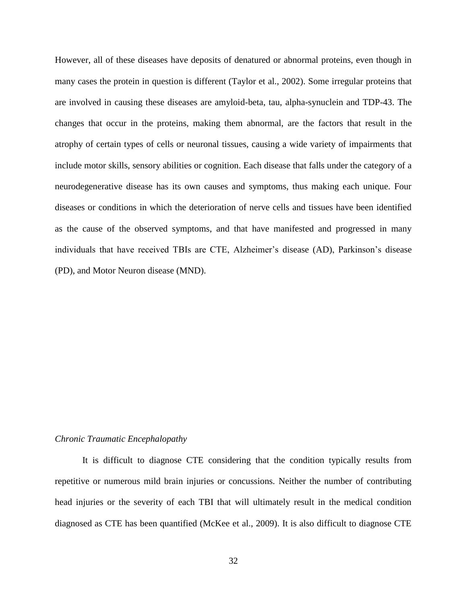However, all of these diseases have deposits of denatured or abnormal proteins, even though in many cases the protein in question is different (Taylor et al., 2002). Some irregular proteins that are involved in causing these diseases are amyloid-beta, tau, alpha-synuclein and TDP-43. The changes that occur in the proteins, making them abnormal, are the factors that result in the atrophy of certain types of cells or neuronal tissues, causing a wide variety of impairments that include motor skills, sensory abilities or cognition. Each disease that falls under the category of a neurodegenerative disease has its own causes and symptoms, thus making each unique. Four diseases or conditions in which the deterioration of nerve cells and tissues have been identified as the cause of the observed symptoms, and that have manifested and progressed in many individuals that have received TBIs are CTE, Alzheimer's disease (AD), Parkinson's disease (PD), and Motor Neuron disease (MND).

#### *Chronic Traumatic Encephalopathy*

It is difficult to diagnose CTE considering that the condition typically results from repetitive or numerous mild brain injuries or concussions. Neither the number of contributing head injuries or the severity of each TBI that will ultimately result in the medical condition diagnosed as CTE has been quantified (McKee et al., 2009). It is also difficult to diagnose CTE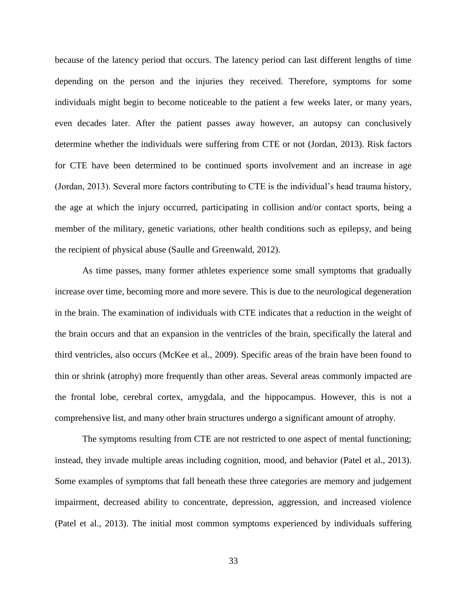because of the latency period that occurs. The latency period can last different lengths of time depending on the person and the injuries they received. Therefore, symptoms for some individuals might begin to become noticeable to the patient a few weeks later, or many years, even decades later. After the patient passes away however, an autopsy can conclusively determine whether the individuals were suffering from CTE or not (Jordan, 2013). Risk factors for CTE have been determined to be continued sports involvement and an increase in age (Jordan, 2013). Several more factors contributing to CTE is the individual's head trauma history, the age at which the injury occurred, participating in collision and/or contact sports, being a member of the military, genetic variations, other health conditions such as epilepsy, and being the recipient of physical abuse (Saulle and Greenwald, 2012).

As time passes, many former athletes experience some small symptoms that gradually increase over time, becoming more and more severe. This is due to the neurological degeneration in the brain. The examination of individuals with CTE indicates that a reduction in the weight of the brain occurs and that an expansion in the ventricles of the brain, specifically the lateral and third ventricles, also occurs (McKee et al., 2009). Specific areas of the brain have been found to thin or shrink (atrophy) more frequently than other areas. Several areas commonly impacted are the frontal lobe, cerebral cortex, amygdala, and the hippocampus. However, this is not a comprehensive list, and many other brain structures undergo a significant amount of atrophy.

The symptoms resulting from CTE are not restricted to one aspect of mental functioning; instead, they invade multiple areas including cognition, mood, and behavior (Patel et al., 2013). Some examples of symptoms that fall beneath these three categories are memory and judgement impairment, decreased ability to concentrate, depression, aggression, and increased violence (Patel et al., 2013). The initial most common symptoms experienced by individuals suffering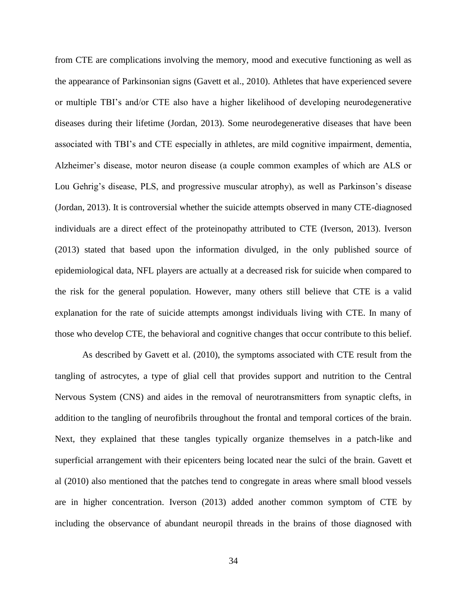from CTE are complications involving the memory, mood and executive functioning as well as the appearance of Parkinsonian signs (Gavett et al., 2010). Athletes that have experienced severe or multiple TBI's and/or CTE also have a higher likelihood of developing neurodegenerative diseases during their lifetime (Jordan, 2013). Some neurodegenerative diseases that have been associated with TBI's and CTE especially in athletes, are mild cognitive impairment, dementia, Alzheimer's disease, motor neuron disease (a couple common examples of which are ALS or Lou Gehrig's disease, PLS, and progressive muscular atrophy), as well as Parkinson's disease (Jordan, 2013). It is controversial whether the suicide attempts observed in many CTE-diagnosed individuals are a direct effect of the proteinopathy attributed to CTE (Iverson, 2013). Iverson (2013) stated that based upon the information divulged, in the only published source of epidemiological data, NFL players are actually at a decreased risk for suicide when compared to the risk for the general population. However, many others still believe that CTE is a valid explanation for the rate of suicide attempts amongst individuals living with CTE. In many of those who develop CTE, the behavioral and cognitive changes that occur contribute to this belief.

As described by Gavett et al. (2010), the symptoms associated with CTE result from the tangling of astrocytes, a type of glial cell that provides support and nutrition to the Central Nervous System (CNS) and aides in the removal of neurotransmitters from synaptic clefts, in addition to the tangling of neurofibrils throughout the frontal and temporal cortices of the brain. Next, they explained that these tangles typically organize themselves in a patch-like and superficial arrangement with their epicenters being located near the sulci of the brain. Gavett et al (2010) also mentioned that the patches tend to congregate in areas where small blood vessels are in higher concentration. Iverson (2013) added another common symptom of CTE by including the observance of abundant neuropil threads in the brains of those diagnosed with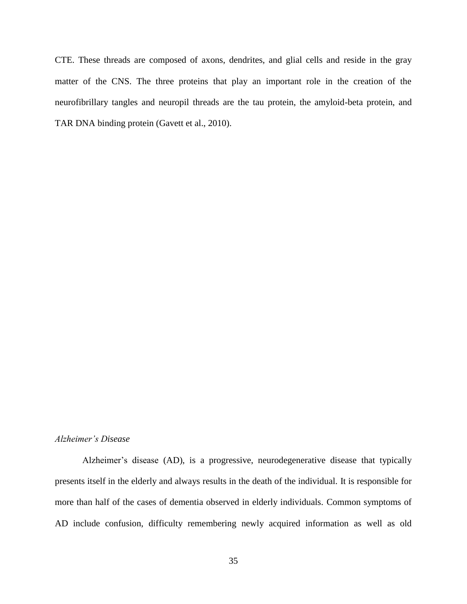CTE. These threads are composed of axons, dendrites, and glial cells and reside in the gray matter of the CNS. The three proteins that play an important role in the creation of the neurofibrillary tangles and neuropil threads are the tau protein, the amyloid-beta protein, and TAR DNA binding protein (Gavett et al., 2010).

#### *Alzheimer's Disease*

Alzheimer's disease (AD), is a progressive, neurodegenerative disease that typically presents itself in the elderly and always results in the death of the individual. It is responsible for more than half of the cases of dementia observed in elderly individuals. Common symptoms of AD include confusion, difficulty remembering newly acquired information as well as old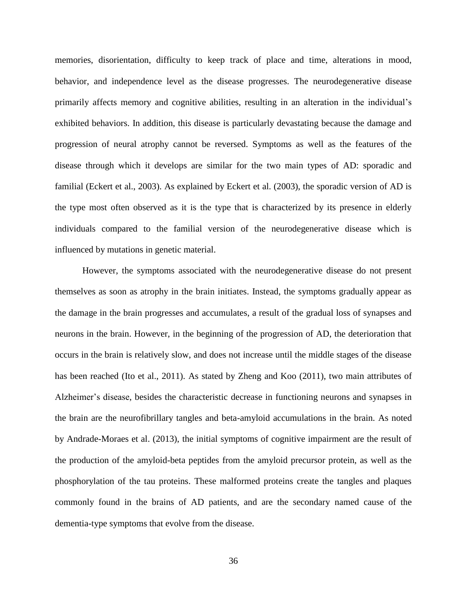memories, disorientation, difficulty to keep track of place and time, alterations in mood, behavior, and independence level as the disease progresses. The neurodegenerative disease primarily affects memory and cognitive abilities, resulting in an alteration in the individual's exhibited behaviors. In addition, this disease is particularly devastating because the damage and progression of neural atrophy cannot be reversed. Symptoms as well as the features of the disease through which it develops are similar for the two main types of AD: sporadic and familial (Eckert et al., 2003). As explained by Eckert et al. (2003), the sporadic version of AD is the type most often observed as it is the type that is characterized by its presence in elderly individuals compared to the familial version of the neurodegenerative disease which is influenced by mutations in genetic material.

However, the symptoms associated with the neurodegenerative disease do not present themselves as soon as atrophy in the brain initiates. Instead, the symptoms gradually appear as the damage in the brain progresses and accumulates, a result of the gradual loss of synapses and neurons in the brain. However, in the beginning of the progression of AD, the deterioration that occurs in the brain is relatively slow, and does not increase until the middle stages of the disease has been reached (Ito et al., 2011). As stated by Zheng and Koo (2011), two main attributes of Alzheimer's disease, besides the characteristic decrease in functioning neurons and synapses in the brain are the neurofibrillary tangles and beta-amyloid accumulations in the brain. As noted by Andrade-Moraes et al. (2013), the initial symptoms of cognitive impairment are the result of the production of the amyloid-beta peptides from the amyloid precursor protein, as well as the phosphorylation of the tau proteins. These malformed proteins create the tangles and plaques commonly found in the brains of AD patients, and are the secondary named cause of the dementia-type symptoms that evolve from the disease.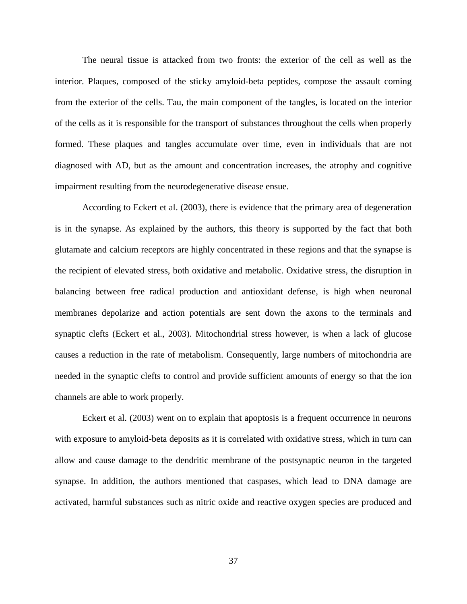The neural tissue is attacked from two fronts: the exterior of the cell as well as the interior. Plaques, composed of the sticky amyloid-beta peptides, compose the assault coming from the exterior of the cells. Tau, the main component of the tangles, is located on the interior of the cells as it is responsible for the transport of substances throughout the cells when properly formed. These plaques and tangles accumulate over time, even in individuals that are not diagnosed with AD, but as the amount and concentration increases, the atrophy and cognitive impairment resulting from the neurodegenerative disease ensue.

According to Eckert et al. (2003), there is evidence that the primary area of degeneration is in the synapse. As explained by the authors, this theory is supported by the fact that both glutamate and calcium receptors are highly concentrated in these regions and that the synapse is the recipient of elevated stress, both oxidative and metabolic. Oxidative stress, the disruption in balancing between free radical production and antioxidant defense, is high when neuronal membranes depolarize and action potentials are sent down the axons to the terminals and synaptic clefts (Eckert et al., 2003). Mitochondrial stress however, is when a lack of glucose causes a reduction in the rate of metabolism. Consequently, large numbers of mitochondria are needed in the synaptic clefts to control and provide sufficient amounts of energy so that the ion channels are able to work properly.

Eckert et al. (2003) went on to explain that apoptosis is a frequent occurrence in neurons with exposure to amyloid-beta deposits as it is correlated with oxidative stress, which in turn can allow and cause damage to the dendritic membrane of the postsynaptic neuron in the targeted synapse. In addition, the authors mentioned that caspases, which lead to DNA damage are activated, harmful substances such as nitric oxide and reactive oxygen species are produced and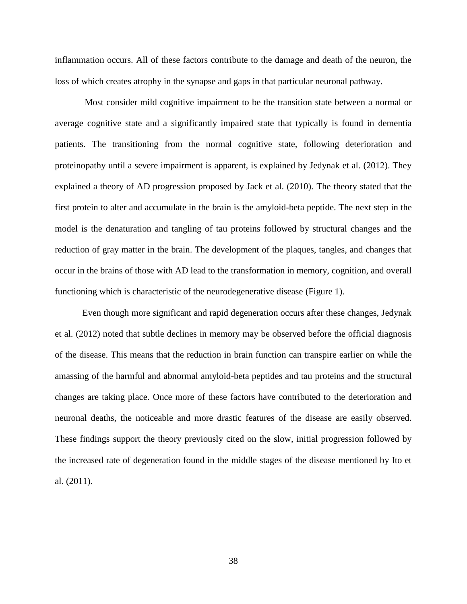inflammation occurs. All of these factors contribute to the damage and death of the neuron, the loss of which creates atrophy in the synapse and gaps in that particular neuronal pathway.

Most consider mild cognitive impairment to be the transition state between a normal or average cognitive state and a significantly impaired state that typically is found in dementia patients. The transitioning from the normal cognitive state, following deterioration and proteinopathy until a severe impairment is apparent, is explained by Jedynak et al. (2012). They explained a theory of AD progression proposed by Jack et al. (2010). The theory stated that the first protein to alter and accumulate in the brain is the amyloid-beta peptide. The next step in the model is the denaturation and tangling of tau proteins followed by structural changes and the reduction of gray matter in the brain. The development of the plaques, tangles, and changes that occur in the brains of those with AD lead to the transformation in memory, cognition, and overall functioning which is characteristic of the neurodegenerative disease (Figure 1).

Even though more significant and rapid degeneration occurs after these changes, Jedynak et al. (2012) noted that subtle declines in memory may be observed before the official diagnosis of the disease. This means that the reduction in brain function can transpire earlier on while the amassing of the harmful and abnormal amyloid-beta peptides and tau proteins and the structural changes are taking place. Once more of these factors have contributed to the deterioration and neuronal deaths, the noticeable and more drastic features of the disease are easily observed. These findings support the theory previously cited on the slow, initial progression followed by the increased rate of degeneration found in the middle stages of the disease mentioned by Ito et al. (2011).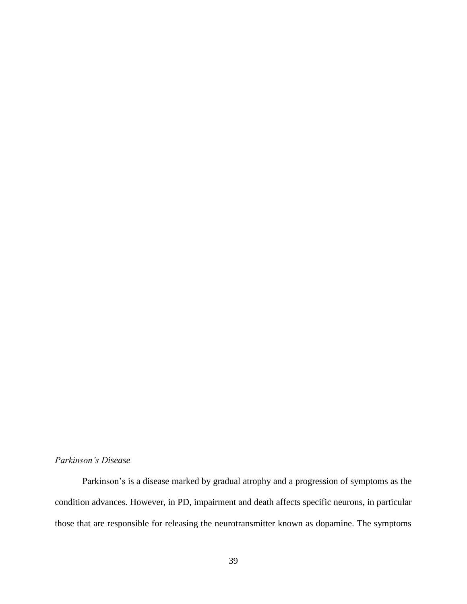#### *Parkinson's Disease*

Parkinson's is a disease marked by gradual atrophy and a progression of symptoms as the condition advances. However, in PD, impairment and death affects specific neurons, in particular those that are responsible for releasing the neurotransmitter known as dopamine. The symptoms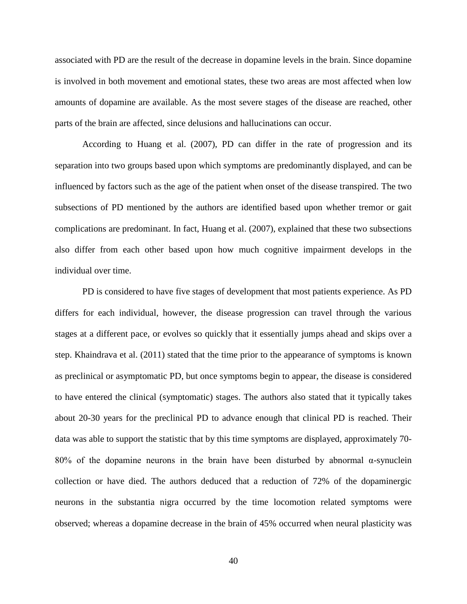associated with PD are the result of the decrease in dopamine levels in the brain. Since dopamine is involved in both movement and emotional states, these two areas are most affected when low amounts of dopamine are available. As the most severe stages of the disease are reached, other parts of the brain are affected, since delusions and hallucinations can occur.

According to Huang et al. (2007), PD can differ in the rate of progression and its separation into two groups based upon which symptoms are predominantly displayed, and can be influenced by factors such as the age of the patient when onset of the disease transpired. The two subsections of PD mentioned by the authors are identified based upon whether tremor or gait complications are predominant. In fact, Huang et al. (2007), explained that these two subsections also differ from each other based upon how much cognitive impairment develops in the individual over time.

PD is considered to have five stages of development that most patients experience. As PD differs for each individual, however, the disease progression can travel through the various stages at a different pace, or evolves so quickly that it essentially jumps ahead and skips over a step. Khaindrava et al. (2011) stated that the time prior to the appearance of symptoms is known as preclinical or asymptomatic PD, but once symptoms begin to appear, the disease is considered to have entered the clinical (symptomatic) stages. The authors also stated that it typically takes about 20-30 years for the preclinical PD to advance enough that clinical PD is reached. Their data was able to support the statistic that by this time symptoms are displayed, approximately 70- 80% of the dopamine neurons in the brain have been disturbed by abnormal α-synuclein collection or have died. The authors deduced that a reduction of 72% of the dopaminergic neurons in the substantia nigra occurred by the time locomotion related symptoms were observed; whereas a dopamine decrease in the brain of 45% occurred when neural plasticity was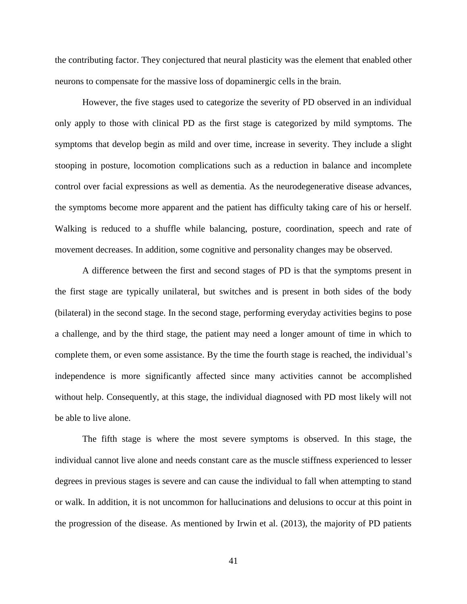the contributing factor. They conjectured that neural plasticity was the element that enabled other neurons to compensate for the massive loss of dopaminergic cells in the brain.

However, the five stages used to categorize the severity of PD observed in an individual only apply to those with clinical PD as the first stage is categorized by mild symptoms. The symptoms that develop begin as mild and over time, increase in severity. They include a slight stooping in posture, locomotion complications such as a reduction in balance and incomplete control over facial expressions as well as dementia. As the neurodegenerative disease advances, the symptoms become more apparent and the patient has difficulty taking care of his or herself. Walking is reduced to a shuffle while balancing, posture, coordination, speech and rate of movement decreases. In addition, some cognitive and personality changes may be observed.

A difference between the first and second stages of PD is that the symptoms present in the first stage are typically unilateral, but switches and is present in both sides of the body (bilateral) in the second stage. In the second stage, performing everyday activities begins to pose a challenge, and by the third stage, the patient may need a longer amount of time in which to complete them, or even some assistance. By the time the fourth stage is reached, the individual's independence is more significantly affected since many activities cannot be accomplished without help. Consequently, at this stage, the individual diagnosed with PD most likely will not be able to live alone.

The fifth stage is where the most severe symptoms is observed. In this stage, the individual cannot live alone and needs constant care as the muscle stiffness experienced to lesser degrees in previous stages is severe and can cause the individual to fall when attempting to stand or walk. In addition, it is not uncommon for hallucinations and delusions to occur at this point in the progression of the disease. As mentioned by Irwin et al. (2013), the majority of PD patients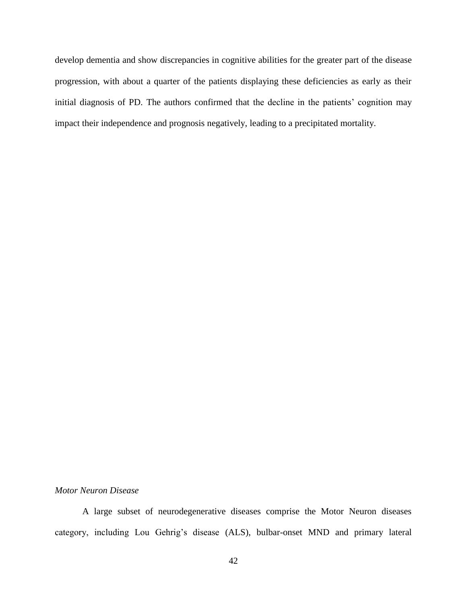develop dementia and show discrepancies in cognitive abilities for the greater part of the disease progression, with about a quarter of the patients displaying these deficiencies as early as their initial diagnosis of PD. The authors confirmed that the decline in the patients' cognition may impact their independence and prognosis negatively, leading to a precipitated mortality.

# *Motor Neuron Disease*

A large subset of neurodegenerative diseases comprise the Motor Neuron diseases category, including Lou Gehrig's disease (ALS), bulbar-onset MND and primary lateral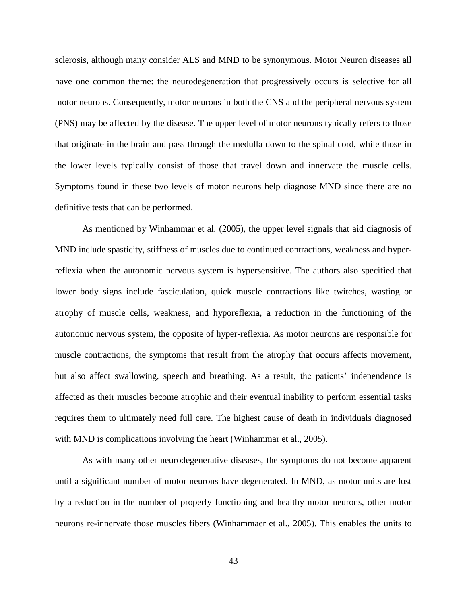sclerosis, although many consider ALS and MND to be synonymous. Motor Neuron diseases all have one common theme: the neurodegeneration that progressively occurs is selective for all motor neurons. Consequently, motor neurons in both the CNS and the peripheral nervous system (PNS) may be affected by the disease. The upper level of motor neurons typically refers to those that originate in the brain and pass through the medulla down to the spinal cord, while those in the lower levels typically consist of those that travel down and innervate the muscle cells. Symptoms found in these two levels of motor neurons help diagnose MND since there are no definitive tests that can be performed.

As mentioned by Winhammar et al. (2005), the upper level signals that aid diagnosis of MND include spasticity, stiffness of muscles due to continued contractions, weakness and hyperreflexia when the autonomic nervous system is hypersensitive. The authors also specified that lower body signs include fasciculation, quick muscle contractions like twitches, wasting or atrophy of muscle cells, weakness, and hyporeflexia, a reduction in the functioning of the autonomic nervous system, the opposite of hyper-reflexia. As motor neurons are responsible for muscle contractions, the symptoms that result from the atrophy that occurs affects movement, but also affect swallowing, speech and breathing. As a result, the patients' independence is affected as their muscles become atrophic and their eventual inability to perform essential tasks requires them to ultimately need full care. The highest cause of death in individuals diagnosed with MND is complications involving the heart (Winhammar et al., 2005).

As with many other neurodegenerative diseases, the symptoms do not become apparent until a significant number of motor neurons have degenerated. In MND, as motor units are lost by a reduction in the number of properly functioning and healthy motor neurons, other motor neurons re-innervate those muscles fibers (Winhammaer et al., 2005). This enables the units to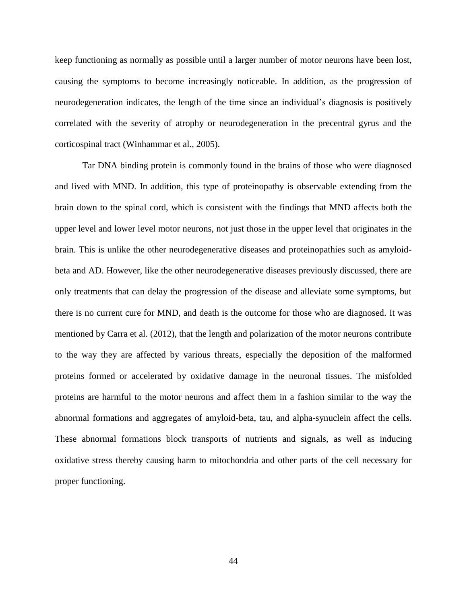keep functioning as normally as possible until a larger number of motor neurons have been lost, causing the symptoms to become increasingly noticeable. In addition, as the progression of neurodegeneration indicates, the length of the time since an individual's diagnosis is positively correlated with the severity of atrophy or neurodegeneration in the precentral gyrus and the corticospinal tract (Winhammar et al., 2005).

Tar DNA binding protein is commonly found in the brains of those who were diagnosed and lived with MND. In addition, this type of proteinopathy is observable extending from the brain down to the spinal cord, which is consistent with the findings that MND affects both the upper level and lower level motor neurons, not just those in the upper level that originates in the brain. This is unlike the other neurodegenerative diseases and proteinopathies such as amyloidbeta and AD. However, like the other neurodegenerative diseases previously discussed, there are only treatments that can delay the progression of the disease and alleviate some symptoms, but there is no current cure for MND, and death is the outcome for those who are diagnosed. It was mentioned by Carra et al. (2012), that the length and polarization of the motor neurons contribute to the way they are affected by various threats, especially the deposition of the malformed proteins formed or accelerated by oxidative damage in the neuronal tissues. The misfolded proteins are harmful to the motor neurons and affect them in a fashion similar to the way the abnormal formations and aggregates of amyloid-beta, tau, and alpha-synuclein affect the cells. These abnormal formations block transports of nutrients and signals, as well as inducing oxidative stress thereby causing harm to mitochondria and other parts of the cell necessary for proper functioning.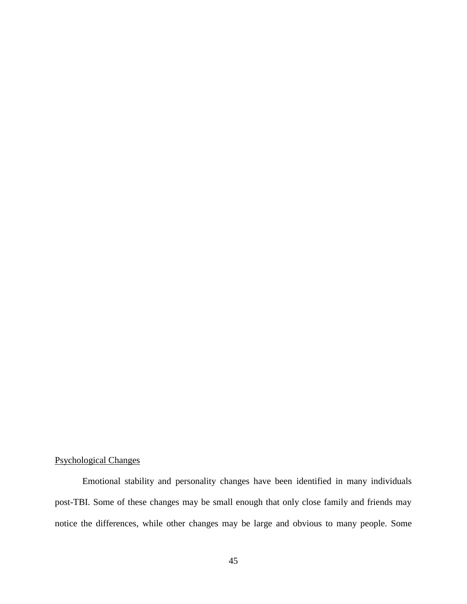# Psychological Changes

Emotional stability and personality changes have been identified in many individuals post-TBI. Some of these changes may be small enough that only close family and friends may notice the differences, while other changes may be large and obvious to many people. Some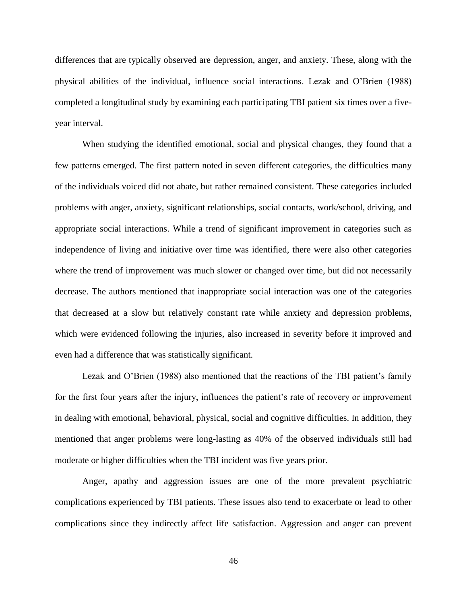differences that are typically observed are depression, anger, and anxiety. These, along with the physical abilities of the individual, influence social interactions. Lezak and O'Brien (1988) completed a longitudinal study by examining each participating TBI patient six times over a fiveyear interval.

When studying the identified emotional, social and physical changes, they found that a few patterns emerged. The first pattern noted in seven different categories, the difficulties many of the individuals voiced did not abate, but rather remained consistent. These categories included problems with anger, anxiety, significant relationships, social contacts, work/school, driving, and appropriate social interactions. While a trend of significant improvement in categories such as independence of living and initiative over time was identified, there were also other categories where the trend of improvement was much slower or changed over time, but did not necessarily decrease. The authors mentioned that inappropriate social interaction was one of the categories that decreased at a slow but relatively constant rate while anxiety and depression problems, which were evidenced following the injuries, also increased in severity before it improved and even had a difference that was statistically significant.

Lezak and O'Brien (1988) also mentioned that the reactions of the TBI patient's family for the first four years after the injury, influences the patient's rate of recovery or improvement in dealing with emotional, behavioral, physical, social and cognitive difficulties. In addition, they mentioned that anger problems were long-lasting as 40% of the observed individuals still had moderate or higher difficulties when the TBI incident was five years prior.

Anger, apathy and aggression issues are one of the more prevalent psychiatric complications experienced by TBI patients. These issues also tend to exacerbate or lead to other complications since they indirectly affect life satisfaction. Aggression and anger can prevent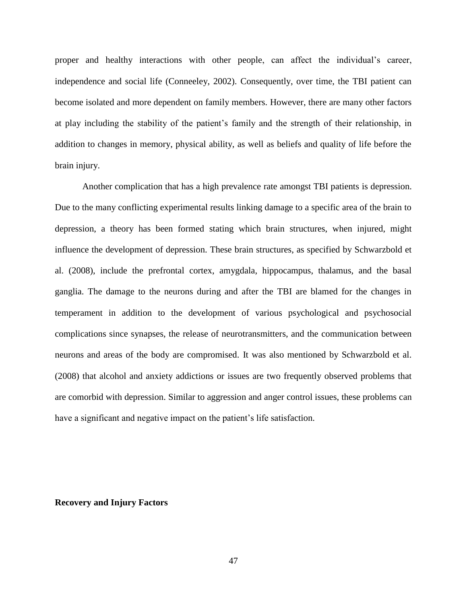proper and healthy interactions with other people, can affect the individual's career, independence and social life (Conneeley, 2002). Consequently, over time, the TBI patient can become isolated and more dependent on family members. However, there are many other factors at play including the stability of the patient's family and the strength of their relationship, in addition to changes in memory, physical ability, as well as beliefs and quality of life before the brain injury.

Another complication that has a high prevalence rate amongst TBI patients is depression. Due to the many conflicting experimental results linking damage to a specific area of the brain to depression, a theory has been formed stating which brain structures, when injured, might influence the development of depression. These brain structures, as specified by Schwarzbold et al. (2008), include the prefrontal cortex, amygdala, hippocampus, thalamus, and the basal ganglia. The damage to the neurons during and after the TBI are blamed for the changes in temperament in addition to the development of various psychological and psychosocial complications since synapses, the release of neurotransmitters, and the communication between neurons and areas of the body are compromised. It was also mentioned by Schwarzbold et al. (2008) that alcohol and anxiety addictions or issues are two frequently observed problems that are comorbid with depression. Similar to aggression and anger control issues, these problems can have a significant and negative impact on the patient's life satisfaction.

### **Recovery and Injury Factors**

47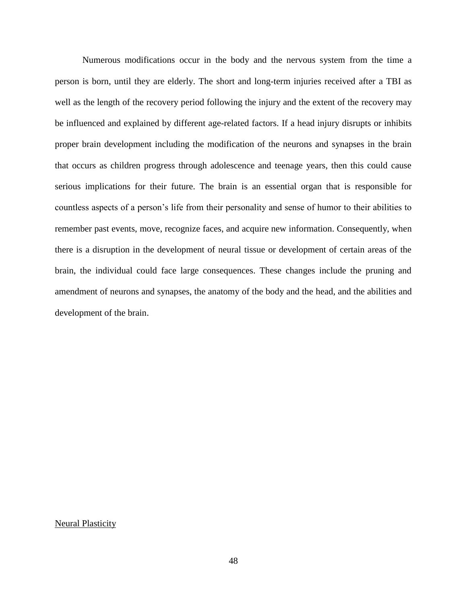Numerous modifications occur in the body and the nervous system from the time a person is born, until they are elderly. The short and long-term injuries received after a TBI as well as the length of the recovery period following the injury and the extent of the recovery may be influenced and explained by different age-related factors. If a head injury disrupts or inhibits proper brain development including the modification of the neurons and synapses in the brain that occurs as children progress through adolescence and teenage years, then this could cause serious implications for their future. The brain is an essential organ that is responsible for countless aspects of a person's life from their personality and sense of humor to their abilities to remember past events, move, recognize faces, and acquire new information. Consequently, when there is a disruption in the development of neural tissue or development of certain areas of the brain, the individual could face large consequences. These changes include the pruning and amendment of neurons and synapses, the anatomy of the body and the head, and the abilities and development of the brain.

Neural Plasticity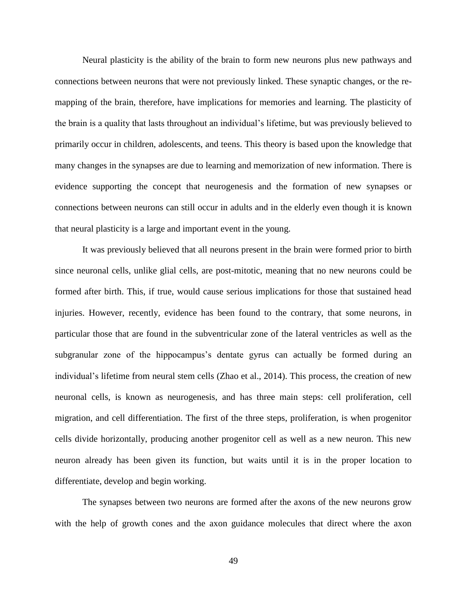Neural plasticity is the ability of the brain to form new neurons plus new pathways and connections between neurons that were not previously linked. These synaptic changes, or the remapping of the brain, therefore, have implications for memories and learning. The plasticity of the brain is a quality that lasts throughout an individual's lifetime, but was previously believed to primarily occur in children, adolescents, and teens. This theory is based upon the knowledge that many changes in the synapses are due to learning and memorization of new information. There is evidence supporting the concept that neurogenesis and the formation of new synapses or connections between neurons can still occur in adults and in the elderly even though it is known that neural plasticity is a large and important event in the young.

It was previously believed that all neurons present in the brain were formed prior to birth since neuronal cells, unlike glial cells, are post-mitotic, meaning that no new neurons could be formed after birth. This, if true, would cause serious implications for those that sustained head injuries. However, recently, evidence has been found to the contrary, that some neurons, in particular those that are found in the subventricular zone of the lateral ventricles as well as the subgranular zone of the hippocampus's dentate gyrus can actually be formed during an individual's lifetime from neural stem cells (Zhao et al., 2014). This process, the creation of new neuronal cells, is known as neurogenesis, and has three main steps: cell proliferation, cell migration, and cell differentiation. The first of the three steps, proliferation, is when progenitor cells divide horizontally, producing another progenitor cell as well as a new neuron. This new neuron already has been given its function, but waits until it is in the proper location to differentiate, develop and begin working.

The synapses between two neurons are formed after the axons of the new neurons grow with the help of growth cones and the axon guidance molecules that direct where the axon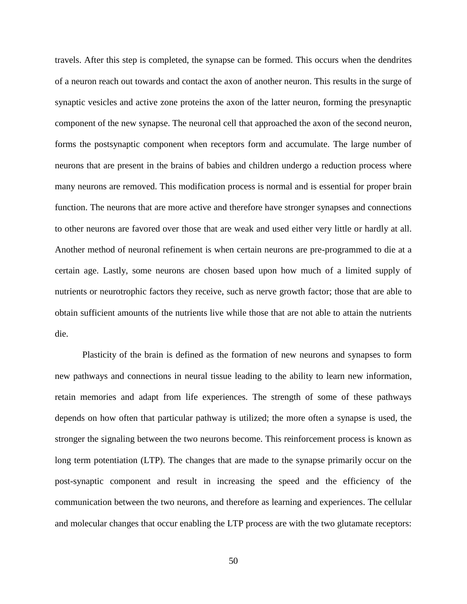travels. After this step is completed, the synapse can be formed. This occurs when the dendrites of a neuron reach out towards and contact the axon of another neuron. This results in the surge of synaptic vesicles and active zone proteins the axon of the latter neuron, forming the presynaptic component of the new synapse. The neuronal cell that approached the axon of the second neuron, forms the postsynaptic component when receptors form and accumulate. The large number of neurons that are present in the brains of babies and children undergo a reduction process where many neurons are removed. This modification process is normal and is essential for proper brain function. The neurons that are more active and therefore have stronger synapses and connections to other neurons are favored over those that are weak and used either very little or hardly at all. Another method of neuronal refinement is when certain neurons are pre-programmed to die at a certain age. Lastly, some neurons are chosen based upon how much of a limited supply of nutrients or neurotrophic factors they receive, such as nerve growth factor; those that are able to obtain sufficient amounts of the nutrients live while those that are not able to attain the nutrients die.

Plasticity of the brain is defined as the formation of new neurons and synapses to form new pathways and connections in neural tissue leading to the ability to learn new information, retain memories and adapt from life experiences. The strength of some of these pathways depends on how often that particular pathway is utilized; the more often a synapse is used, the stronger the signaling between the two neurons become. This reinforcement process is known as long term potentiation (LTP). The changes that are made to the synapse primarily occur on the post-synaptic component and result in increasing the speed and the efficiency of the communication between the two neurons, and therefore as learning and experiences. The cellular and molecular changes that occur enabling the LTP process are with the two glutamate receptors: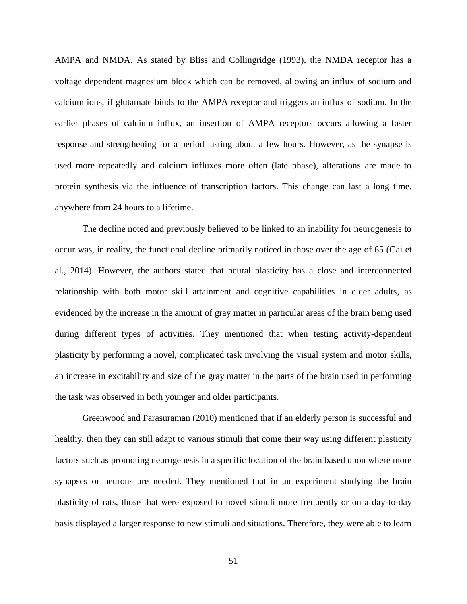AMPA and NMDA. As stated by Bliss and Collingridge (1993), the NMDA receptor has a voltage dependent magnesium block which can be removed, allowing an influx of sodium and calcium ions, if glutamate binds to the AMPA receptor and triggers an influx of sodium. In the earlier phases of calcium influx, an insertion of AMPA receptors occurs allowing a faster response and strengthening for a period lasting about a few hours. However, as the synapse is used more repeatedly and calcium influxes more often (late phase), alterations are made to protein synthesis via the influence of transcription factors. This change can last a long time, anywhere from 24 hours to a lifetime.

The decline noted and previously believed to be linked to an inability for neurogenesis to occur was, in reality, the functional decline primarily noticed in those over the age of 65 (Cai et al., 2014). However, the authors stated that neural plasticity has a close and interconnected relationship with both motor skill attainment and cognitive capabilities in elder adults, as evidenced by the increase in the amount of gray matter in particular areas of the brain being used during different types of activities. They mentioned that when testing activity-dependent plasticity by performing a novel, complicated task involving the visual system and motor skills, an increase in excitability and size of the gray matter in the parts of the brain used in performing the task was observed in both younger and older participants.

Greenwood and Parasuraman (2010) mentioned that if an elderly person is successful and healthy, then they can still adapt to various stimuli that come their way using different plasticity factors such as promoting neurogenesis in a specific location of the brain based upon where more synapses or neurons are needed. They mentioned that in an experiment studying the brain plasticity of rats, those that were exposed to novel stimuli more frequently or on a day-to-day basis displayed a larger response to new stimuli and situations. Therefore, they were able to learn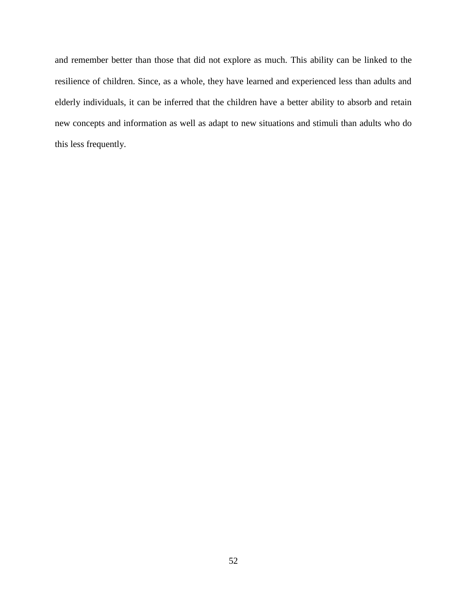and remember better than those that did not explore as much. This ability can be linked to the resilience of children. Since, as a whole, they have learned and experienced less than adults and elderly individuals, it can be inferred that the children have a better ability to absorb and retain new concepts and information as well as adapt to new situations and stimuli than adults who do this less frequently.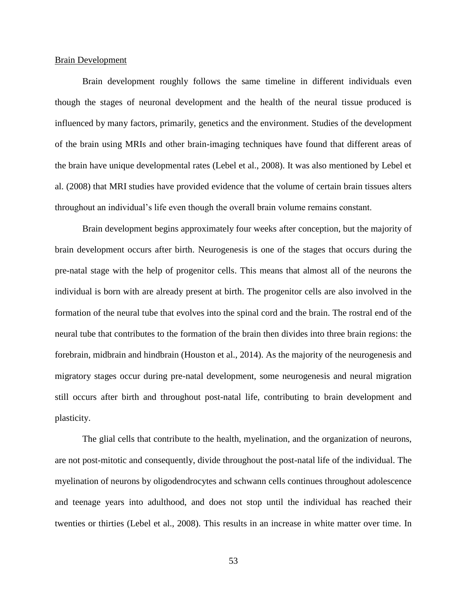#### Brain Development

Brain development roughly follows the same timeline in different individuals even though the stages of neuronal development and the health of the neural tissue produced is influenced by many factors, primarily, genetics and the environment. Studies of the development of the brain using MRIs and other brain-imaging techniques have found that different areas of the brain have unique developmental rates (Lebel et al., 2008). It was also mentioned by Lebel et al. (2008) that MRI studies have provided evidence that the volume of certain brain tissues alters throughout an individual's life even though the overall brain volume remains constant.

Brain development begins approximately four weeks after conception, but the majority of brain development occurs after birth. Neurogenesis is one of the stages that occurs during the pre-natal stage with the help of progenitor cells. This means that almost all of the neurons the individual is born with are already present at birth. The progenitor cells are also involved in the formation of the neural tube that evolves into the spinal cord and the brain. The rostral end of the neural tube that contributes to the formation of the brain then divides into three brain regions: the forebrain, midbrain and hindbrain (Houston et al., 2014). As the majority of the neurogenesis and migratory stages occur during pre-natal development, some neurogenesis and neural migration still occurs after birth and throughout post-natal life, contributing to brain development and plasticity.

The glial cells that contribute to the health, myelination, and the organization of neurons, are not post-mitotic and consequently, divide throughout the post-natal life of the individual. The myelination of neurons by oligodendrocytes and schwann cells continues throughout adolescence and teenage years into adulthood, and does not stop until the individual has reached their twenties or thirties (Lebel et al., 2008). This results in an increase in white matter over time. In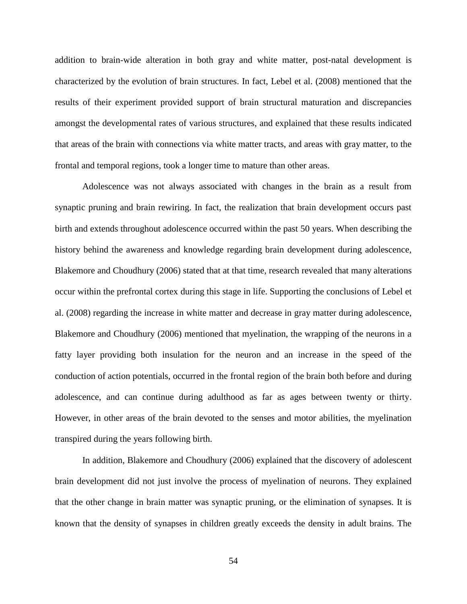addition to brain-wide alteration in both gray and white matter, post-natal development is characterized by the evolution of brain structures. In fact, Lebel et al. (2008) mentioned that the results of their experiment provided support of brain structural maturation and discrepancies amongst the developmental rates of various structures, and explained that these results indicated that areas of the brain with connections via white matter tracts, and areas with gray matter, to the frontal and temporal regions, took a longer time to mature than other areas.

Adolescence was not always associated with changes in the brain as a result from synaptic pruning and brain rewiring. In fact, the realization that brain development occurs past birth and extends throughout adolescence occurred within the past 50 years. When describing the history behind the awareness and knowledge regarding brain development during adolescence, Blakemore and Choudhury (2006) stated that at that time, research revealed that many alterations occur within the prefrontal cortex during this stage in life. Supporting the conclusions of Lebel et al. (2008) regarding the increase in white matter and decrease in gray matter during adolescence, Blakemore and Choudhury (2006) mentioned that myelination, the wrapping of the neurons in a fatty layer providing both insulation for the neuron and an increase in the speed of the conduction of action potentials, occurred in the frontal region of the brain both before and during adolescence, and can continue during adulthood as far as ages between twenty or thirty. However, in other areas of the brain devoted to the senses and motor abilities, the myelination transpired during the years following birth.

In addition, Blakemore and Choudhury (2006) explained that the discovery of adolescent brain development did not just involve the process of myelination of neurons. They explained that the other change in brain matter was synaptic pruning, or the elimination of synapses. It is known that the density of synapses in children greatly exceeds the density in adult brains. The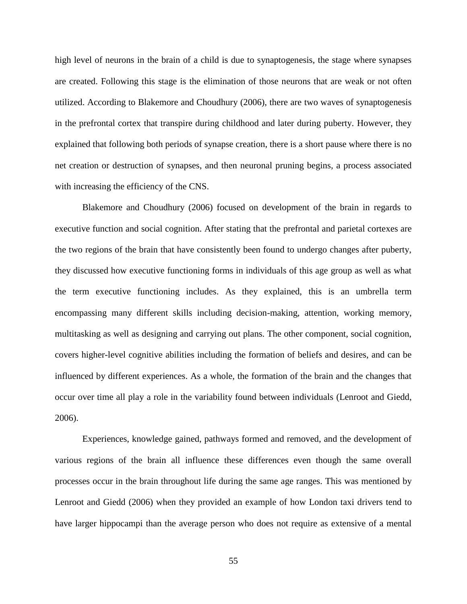high level of neurons in the brain of a child is due to synaptogenesis, the stage where synapses are created. Following this stage is the elimination of those neurons that are weak or not often utilized. According to Blakemore and Choudhury (2006), there are two waves of synaptogenesis in the prefrontal cortex that transpire during childhood and later during puberty. However, they explained that following both periods of synapse creation, there is a short pause where there is no net creation or destruction of synapses, and then neuronal pruning begins, a process associated with increasing the efficiency of the CNS.

Blakemore and Choudhury (2006) focused on development of the brain in regards to executive function and social cognition. After stating that the prefrontal and parietal cortexes are the two regions of the brain that have consistently been found to undergo changes after puberty, they discussed how executive functioning forms in individuals of this age group as well as what the term executive functioning includes. As they explained, this is an umbrella term encompassing many different skills including decision-making, attention, working memory, multitasking as well as designing and carrying out plans. The other component, social cognition, covers higher-level cognitive abilities including the formation of beliefs and desires, and can be influenced by different experiences. As a whole, the formation of the brain and the changes that occur over time all play a role in the variability found between individuals (Lenroot and Giedd, 2006).

Experiences, knowledge gained, pathways formed and removed, and the development of various regions of the brain all influence these differences even though the same overall processes occur in the brain throughout life during the same age ranges. This was mentioned by Lenroot and Giedd (2006) when they provided an example of how London taxi drivers tend to have larger hippocampi than the average person who does not require as extensive of a mental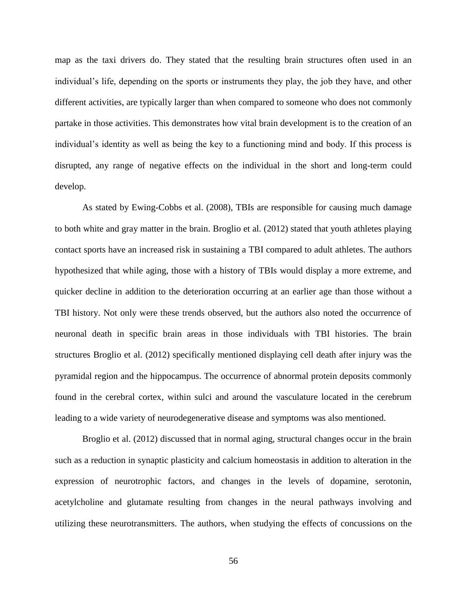map as the taxi drivers do. They stated that the resulting brain structures often used in an individual's life, depending on the sports or instruments they play, the job they have, and other different activities, are typically larger than when compared to someone who does not commonly partake in those activities. This demonstrates how vital brain development is to the creation of an individual's identity as well as being the key to a functioning mind and body. If this process is disrupted, any range of negative effects on the individual in the short and long-term could develop.

As stated by Ewing-Cobbs et al. (2008), TBIs are responsible for causing much damage to both white and gray matter in the brain. Broglio et al. (2012) stated that youth athletes playing contact sports have an increased risk in sustaining a TBI compared to adult athletes. The authors hypothesized that while aging, those with a history of TBIs would display a more extreme, and quicker decline in addition to the deterioration occurring at an earlier age than those without a TBI history. Not only were these trends observed, but the authors also noted the occurrence of neuronal death in specific brain areas in those individuals with TBI histories. The brain structures Broglio et al. (2012) specifically mentioned displaying cell death after injury was the pyramidal region and the hippocampus. The occurrence of abnormal protein deposits commonly found in the cerebral cortex, within sulci and around the vasculature located in the cerebrum leading to a wide variety of neurodegenerative disease and symptoms was also mentioned.

Broglio et al. (2012) discussed that in normal aging, structural changes occur in the brain such as a reduction in synaptic plasticity and calcium homeostasis in addition to alteration in the expression of neurotrophic factors, and changes in the levels of dopamine, serotonin, acetylcholine and glutamate resulting from changes in the neural pathways involving and utilizing these neurotransmitters. The authors, when studying the effects of concussions on the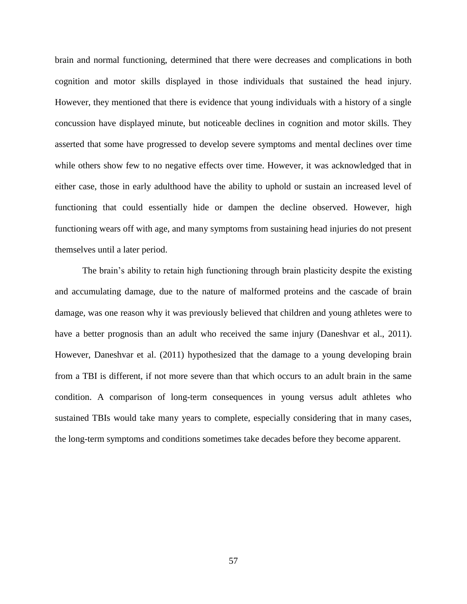brain and normal functioning, determined that there were decreases and complications in both cognition and motor skills displayed in those individuals that sustained the head injury. However, they mentioned that there is evidence that young individuals with a history of a single concussion have displayed minute, but noticeable declines in cognition and motor skills. They asserted that some have progressed to develop severe symptoms and mental declines over time while others show few to no negative effects over time. However, it was acknowledged that in either case, those in early adulthood have the ability to uphold or sustain an increased level of functioning that could essentially hide or dampen the decline observed. However, high functioning wears off with age, and many symptoms from sustaining head injuries do not present themselves until a later period.

The brain's ability to retain high functioning through brain plasticity despite the existing and accumulating damage, due to the nature of malformed proteins and the cascade of brain damage, was one reason why it was previously believed that children and young athletes were to have a better prognosis than an adult who received the same injury (Daneshvar et al., 2011). However, Daneshvar et al. (2011) hypothesized that the damage to a young developing brain from a TBI is different, if not more severe than that which occurs to an adult brain in the same condition. A comparison of long-term consequences in young versus adult athletes who sustained TBIs would take many years to complete, especially considering that in many cases, the long-term symptoms and conditions sometimes take decades before they become apparent.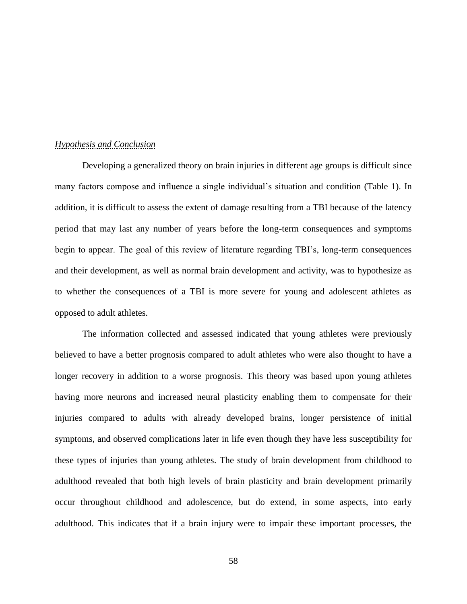### *Hypothesis and Conclusion*

Developing a generalized theory on brain injuries in different age groups is difficult since many factors compose and influence a single individual's situation and condition (Table 1). In addition, it is difficult to assess the extent of damage resulting from a TBI because of the latency period that may last any number of years before the long-term consequences and symptoms begin to appear. The goal of this review of literature regarding TBI's, long-term consequences and their development, as well as normal brain development and activity, was to hypothesize as to whether the consequences of a TBI is more severe for young and adolescent athletes as opposed to adult athletes.

The information collected and assessed indicated that young athletes were previously believed to have a better prognosis compared to adult athletes who were also thought to have a longer recovery in addition to a worse prognosis. This theory was based upon young athletes having more neurons and increased neural plasticity enabling them to compensate for their injuries compared to adults with already developed brains, longer persistence of initial symptoms, and observed complications later in life even though they have less susceptibility for these types of injuries than young athletes. The study of brain development from childhood to adulthood revealed that both high levels of brain plasticity and brain development primarily occur throughout childhood and adolescence, but do extend, in some aspects, into early adulthood. This indicates that if a brain injury were to impair these important processes, the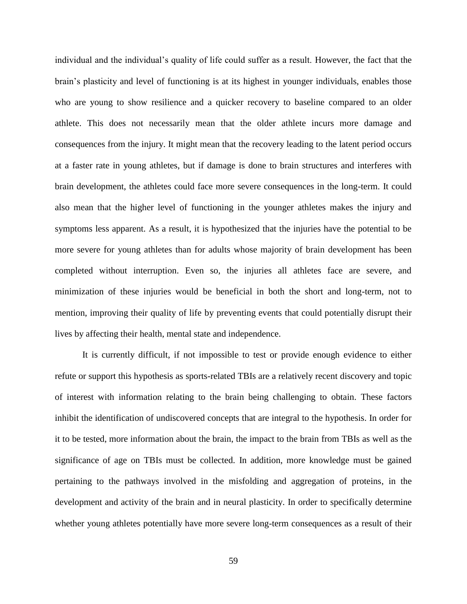individual and the individual's quality of life could suffer as a result. However, the fact that the brain's plasticity and level of functioning is at its highest in younger individuals, enables those who are young to show resilience and a quicker recovery to baseline compared to an older athlete. This does not necessarily mean that the older athlete incurs more damage and consequences from the injury. It might mean that the recovery leading to the latent period occurs at a faster rate in young athletes, but if damage is done to brain structures and interferes with brain development, the athletes could face more severe consequences in the long-term. It could also mean that the higher level of functioning in the younger athletes makes the injury and symptoms less apparent. As a result, it is hypothesized that the injuries have the potential to be more severe for young athletes than for adults whose majority of brain development has been completed without interruption. Even so, the injuries all athletes face are severe, and minimization of these injuries would be beneficial in both the short and long-term, not to mention, improving their quality of life by preventing events that could potentially disrupt their lives by affecting their health, mental state and independence.

It is currently difficult, if not impossible to test or provide enough evidence to either refute or support this hypothesis as sports-related TBIs are a relatively recent discovery and topic of interest with information relating to the brain being challenging to obtain. These factors inhibit the identification of undiscovered concepts that are integral to the hypothesis. In order for it to be tested, more information about the brain, the impact to the brain from TBIs as well as the significance of age on TBIs must be collected. In addition, more knowledge must be gained pertaining to the pathways involved in the misfolding and aggregation of proteins, in the development and activity of the brain and in neural plasticity. In order to specifically determine whether young athletes potentially have more severe long-term consequences as a result of their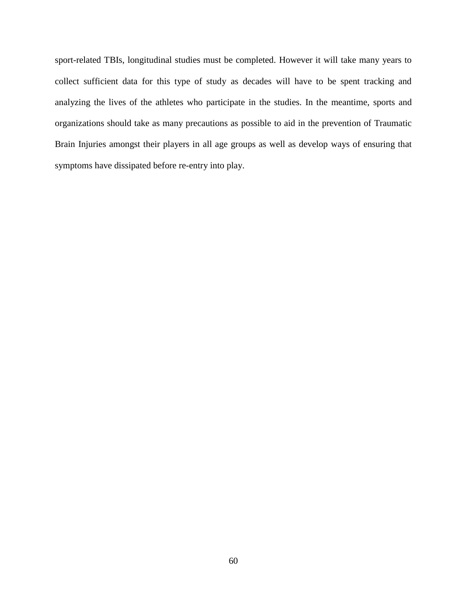sport-related TBIs, longitudinal studies must be completed. However it will take many years to collect sufficient data for this type of study as decades will have to be spent tracking and analyzing the lives of the athletes who participate in the studies. In the meantime, sports and organizations should take as many precautions as possible to aid in the prevention of Traumatic Brain Injuries amongst their players in all age groups as well as develop ways of ensuring that symptoms have dissipated before re-entry into play.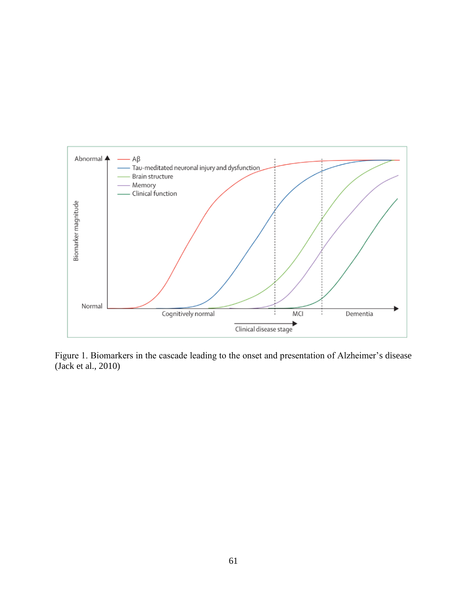

Figure 1. Biomarkers in the cascade leading to the onset and presentation of Alzheimer's disease (Jack et al., 2010)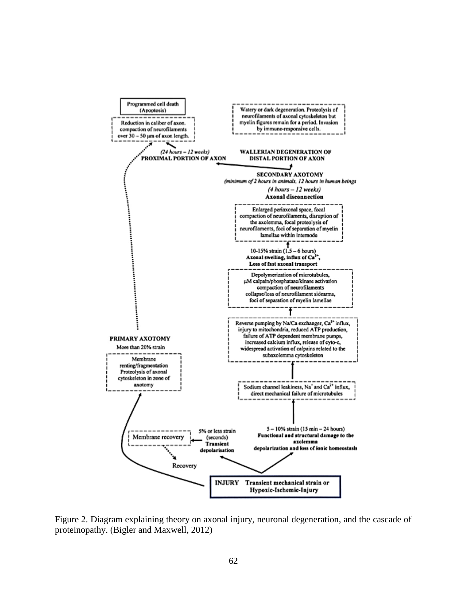

Figure 2. Diagram explaining theory on axonal injury, neuronal degeneration, and the cascade of proteinopathy. (Bigler and Maxwell, 2012)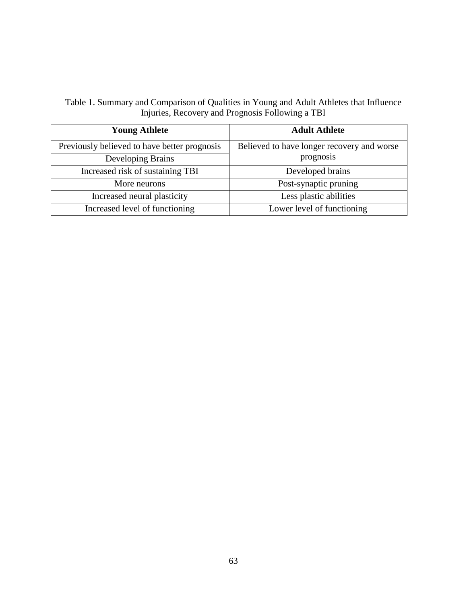Table 1. Summary and Comparison of Qualities in Young and Adult Athletes that Influence Injuries, Recovery and Prognosis Following a TBI

| <b>Young Athlete</b>                         | <b>Adult Athlete</b>                       |
|----------------------------------------------|--------------------------------------------|
| Previously believed to have better prognosis | Believed to have longer recovery and worse |
| Developing Brains                            | prognosis                                  |
| Increased risk of sustaining TBI             | Developed brains                           |
| More neurons                                 | Post-synaptic pruning                      |
| Increased neural plasticity                  | Less plastic abilities                     |
| Increased level of functioning               | Lower level of functioning                 |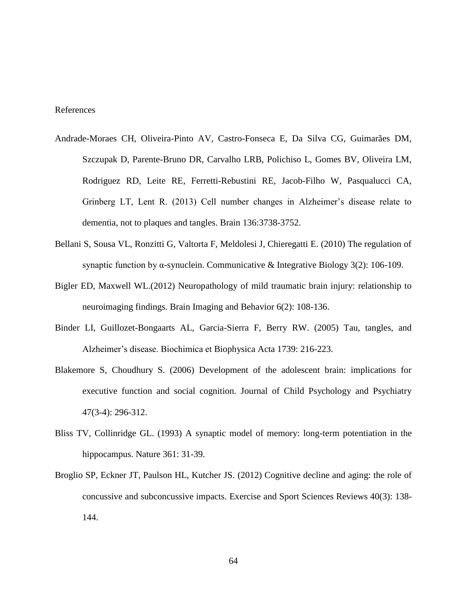# References

- Andrade-Moraes CH, Oliveira-Pinto AV, Castro-Fonseca E, Da Silva CG, Guimarães DM, Szczupak D, Parente-Bruno DR, Carvalho LRB, Polichiso L, Gomes BV, Oliveira LM, Rodriguez RD, Leite RE, Ferretti-Rebustini RE, Jacob-Filho W, Pasqualucci CA, Grinberg LT, Lent R. (2013) Cell number changes in Alzheimer's disease relate to dementia, not to plaques and tangles. Brain 136:3738-3752.
- Bellani S, Sousa VL, Ronzitti G, Valtorta F, Meldolesi J, Chieregatti E. (2010) The regulation of synaptic function by α-synuclein. Communicative & Integrative Biology 3(2): 106-109.
- Bigler ED, Maxwell WL.(2012) Neuropathology of mild traumatic brain injury: relationship to neuroimaging findings. Brain Imaging and Behavior 6(2): 108-136.
- Binder LI, Guillozet-Bongaarts AL, Garcia-Sierra F, Berry RW. (2005) Tau, tangles, and Alzheimer's disease. Biochimica et Biophysica Acta 1739: 216-223.
- Blakemore S, Choudhury S. (2006) Development of the adolescent brain: implications for executive function and social cognition. Journal of Child Psychology and Psychiatry 47(3-4): 296-312.
- Bliss TV, Collinridge GL. (1993) A synaptic model of memory: long-term potentiation in the hippocampus. Nature 361: 31-39.
- Broglio SP, Eckner JT, Paulson HL, Kutcher JS. (2012) Cognitive decline and aging: the role of concussive and subconcussive impacts. Exercise and Sport Sciences Reviews 40(3): 138- 144.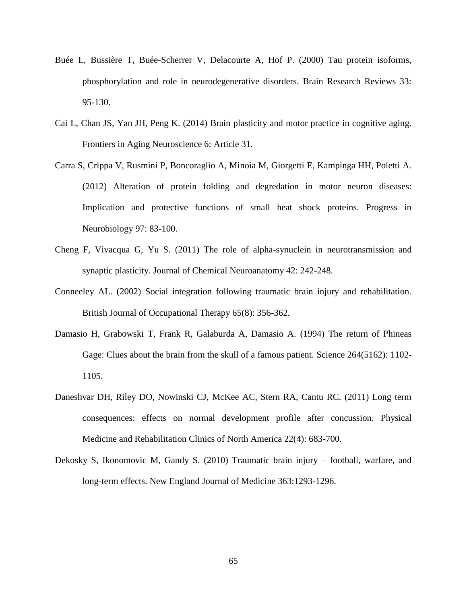- Buée L, Bussière T, Buée-Scherrer V, Delacourte A, Hof P. (2000) Tau protein isoforms, phosphorylation and role in neurodegenerative disorders. Brain Research Reviews 33: 95-130.
- Cai L, Chan JS, Yan JH, Peng K. (2014) Brain plasticity and motor practice in cognitive aging. Frontiers in Aging Neuroscience 6: Article 31.
- Carra S, Crippa V, Rusmini P, Boncoraglio A, Minoia M, Giorgetti E, Kampinga HH, Poletti A. (2012) Alteration of protein folding and degredation in motor neuron diseases: Implication and protective functions of small heat shock proteins. Progress in Neurobiology 97: 83-100.
- Cheng F, Vivacqua G, Yu S. (2011) The role of alpha-synuclein in neurotransmission and synaptic plasticity. Journal of Chemical Neuroanatomy 42: 242-248.
- Conneeley AL. (2002) Social integration following traumatic brain injury and rehabilitation. British Journal of Occupational Therapy 65(8): 356-362.
- Damasio H, Grabowski T, Frank R, Galaburda A, Damasio A. (1994) The return of Phineas Gage: Clues about the brain from the skull of a famous patient. Science 264(5162): 1102- 1105.
- Daneshvar DH, Riley DO, Nowinski CJ, McKee AC, Stern RA, Cantu RC. (2011) Long term consequences: effects on normal development profile after concussion. Physical Medicine and Rehabilitation Clinics of North America 22(4): 683-700.
- Dekosky S, Ikonomovic M, Gandy S. (2010) Traumatic brain injury football, warfare, and long-term effects. New England Journal of Medicine 363:1293-1296.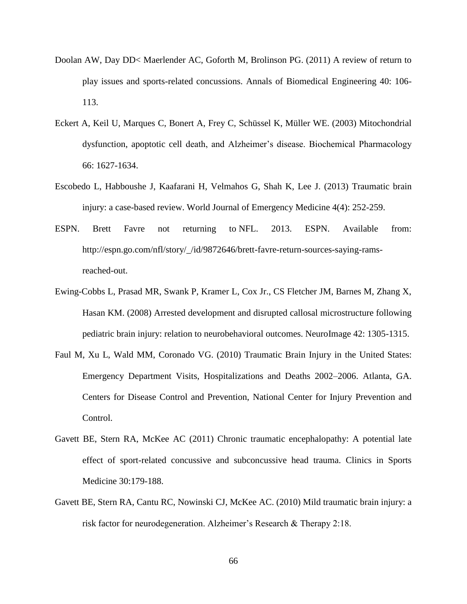- Doolan AW, Day DD< Maerlender AC, Goforth M, Brolinson PG. (2011) A review of return to play issues and sports-related concussions. Annals of Biomedical Engineering 40: 106- 113.
- Eckert A, Keil U, Marques C, Bonert A, Frey C, Schüssel K, Müller WE. (2003) Mitochondrial dysfunction, apoptotic cell death, and Alzheimer's disease. Biochemical Pharmacology 66: 1627-1634.
- Escobedo L, Habboushe J, Kaafarani H, Velmahos G, Shah K, Lee J. (2013) Traumatic brain injury: a case-based review. World Journal of Emergency Medicine 4(4): 252-259.
- ESPN. Brett Favre not returning to NFL. 2013. ESPN. Available from: http://espn.go.com/nfl/story/\_/id/9872646/brett-favre-return-sources-saying-ramsreached-out.
- Ewing-Cobbs L, Prasad MR, Swank P, Kramer L, Cox Jr., CS Fletcher JM, Barnes M, Zhang X, Hasan KM. (2008) Arrested development and disrupted callosal microstructure following pediatric brain injury: relation to neurobehavioral outcomes. NeuroImage 42: 1305-1315.
- Faul M, Xu L, Wald MM, Coronado VG. (2010) Traumatic Brain Injury in the United States: Emergency Department Visits, Hospitalizations and Deaths 2002–2006. Atlanta, GA. Centers for Disease Control and Prevention, National Center for Injury Prevention and Control.
- Gavett BE, Stern RA, McKee AC (2011) Chronic traumatic encephalopathy: A potential late effect of sport-related concussive and subconcussive head trauma. Clinics in Sports Medicine 30:179-188.
- Gavett BE, Stern RA, Cantu RC, Nowinski CJ, McKee AC. (2010) Mild traumatic brain injury: a risk factor for neurodegeneration. Alzheimer's Research & Therapy 2:18.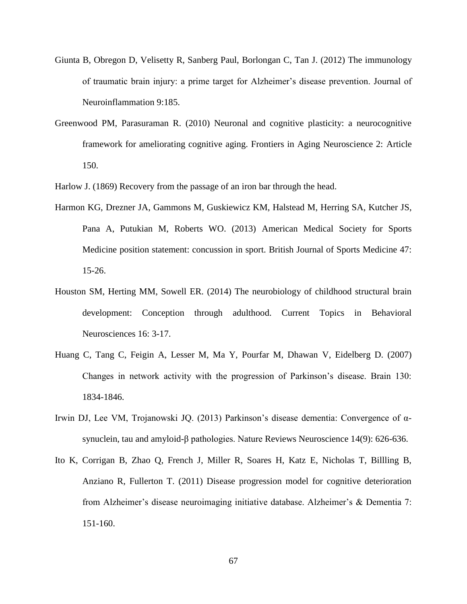- Giunta B, Obregon D, Velisetty R, Sanberg Paul, Borlongan C, Tan J. (2012) The immunology of traumatic brain injury: a prime target for Alzheimer's disease prevention. Journal of Neuroinflammation 9:185.
- Greenwood PM, Parasuraman R. (2010) Neuronal and cognitive plasticity: a neurocognitive framework for ameliorating cognitive aging. Frontiers in Aging Neuroscience 2: Article 150.
- Harlow J. (1869) Recovery from the passage of an iron bar through the head.
- Harmon KG, Drezner JA, Gammons M, Guskiewicz KM, Halstead M, Herring SA, Kutcher JS, Pana A, Putukian M, Roberts WO. (2013) American Medical Society for Sports Medicine position statement: concussion in sport. British Journal of Sports Medicine 47: 15-26.
- Houston SM, Herting MM, Sowell ER. (2014) The neurobiology of childhood structural brain development: Conception through adulthood. Current Topics in Behavioral Neurosciences 16: 3-17.
- Huang C, Tang C, Feigin A, Lesser M, Ma Y, Pourfar M, Dhawan V, Eidelberg D. (2007) Changes in network activity with the progression of Parkinson's disease. Brain 130: 1834-1846.
- Irwin DJ, Lee VM, Trojanowski JQ. (2013) Parkinson's disease dementia: Convergence of αsynuclein, tau and amyloid-β pathologies. Nature Reviews Neuroscience 14(9): 626-636.
- Ito K, Corrigan B, Zhao Q, French J, Miller R, Soares H, Katz E, Nicholas T, Billling B, Anziano R, Fullerton T. (2011) Disease progression model for cognitive deterioration from Alzheimer's disease neuroimaging initiative database. Alzheimer's & Dementia 7: 151-160.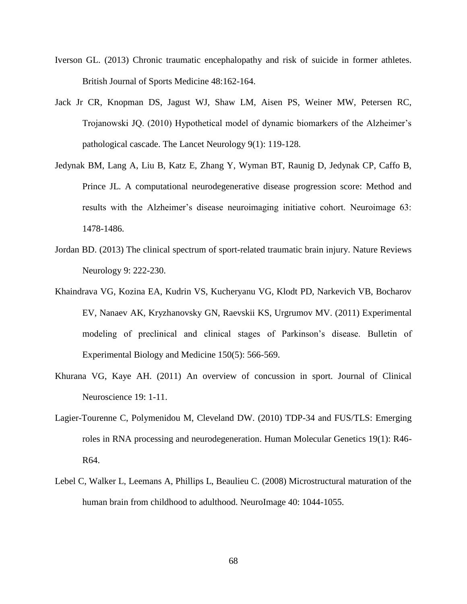- Iverson GL. (2013) Chronic traumatic encephalopathy and risk of suicide in former athletes. British Journal of Sports Medicine 48:162-164.
- Jack Jr CR, Knopman DS, Jagust WJ, Shaw LM, Aisen PS, Weiner MW, Petersen RC, Trojanowski JQ. (2010) Hypothetical model of dynamic biomarkers of the Alzheimer's pathological cascade. The Lancet Neurology 9(1): 119-128.
- Jedynak BM, Lang A, Liu B, Katz E, Zhang Y, Wyman BT, Raunig D, Jedynak CP, Caffo B, Prince JL. A computational neurodegenerative disease progression score: Method and results with the Alzheimer's disease neuroimaging initiative cohort. Neuroimage 63: 1478-1486.
- Jordan BD. (2013) The clinical spectrum of sport-related traumatic brain injury. Nature Reviews Neurology 9: 222-230.
- Khaindrava VG, Kozina EA, Kudrin VS, Kucheryanu VG, Klodt PD, Narkevich VB, Bocharov EV, Nanaev AK, Kryzhanovsky GN, Raevskii KS, Urgrumov MV. (2011) Experimental modeling of preclinical and clinical stages of Parkinson's disease. Bulletin of Experimental Biology and Medicine 150(5): 566-569.
- Khurana VG, Kaye AH. (2011) An overview of concussion in sport. Journal of Clinical Neuroscience 19: 1-11.
- Lagier-Tourenne C, Polymenidou M, Cleveland DW. (2010) TDP-34 and FUS/TLS: Emerging roles in RNA processing and neurodegeneration. Human Molecular Genetics 19(1): R46- R64.
- Lebel C, Walker L, Leemans A, Phillips L, Beaulieu C. (2008) Microstructural maturation of the human brain from childhood to adulthood. NeuroImage 40: 1044-1055.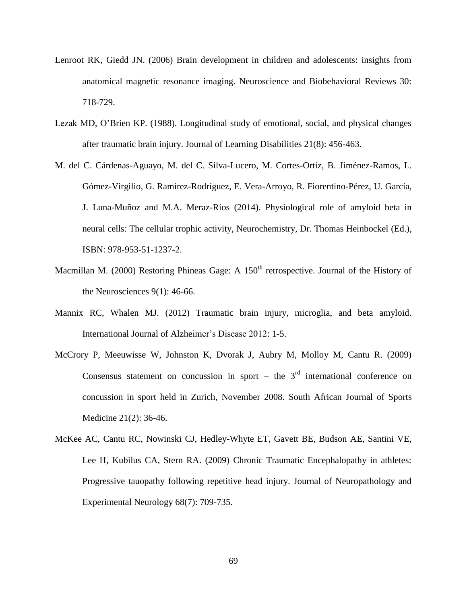- Lenroot RK, Giedd JN. (2006) Brain development in children and adolescents: insights from anatomical magnetic resonance imaging. Neuroscience and Biobehavioral Reviews 30: 718-729.
- Lezak MD, O'Brien KP. (1988). Longitudinal study of emotional, social, and physical changes after traumatic brain injury. Journal of Learning Disabilities 21(8): 456-463.
- M. del C. Cárdenas-Aguayo, M. del C. Silva-Lucero, M. Cortes-Ortiz, B. Jiménez-Ramos, L. Gómez-Virgilio, G. Ramírez-Rodríguez, E. Vera-Arroyo, R. Fiorentino-Pérez, U. García, J. Luna-Muñoz and M.A. Meraz-Ríos (2014). Physiological role of amyloid beta in neural cells: The cellular trophic activity, Neurochemistry, Dr. Thomas Heinbockel (Ed.), ISBN: 978-953-51-1237-2.
- Macmillan M. (2000) Restoring Phineas Gage: A  $150<sup>th</sup>$  retrospective. Journal of the History of the Neurosciences 9(1): 46-66.
- Mannix RC, Whalen MJ. (2012) Traumatic brain injury, microglia, and beta amyloid. International Journal of Alzheimer's Disease 2012: 1-5.
- McCrory P, Meeuwisse W, Johnston K, Dvorak J, Aubry M, Molloy M, Cantu R. (2009) Consensus statement on concussion in sport – the  $3<sup>rd</sup>$  international conference on concussion in sport held in Zurich, November 2008. South African Journal of Sports Medicine 21(2): 36-46.
- McKee AC, Cantu RC, Nowinski CJ, Hedley-Whyte ET, Gavett BE, Budson AE, Santini VE, Lee H, Kubilus CA, Stern RA. (2009) Chronic Traumatic Encephalopathy in athletes: Progressive tauopathy following repetitive head injury. Journal of Neuropathology and Experimental Neurology 68(7): 709-735.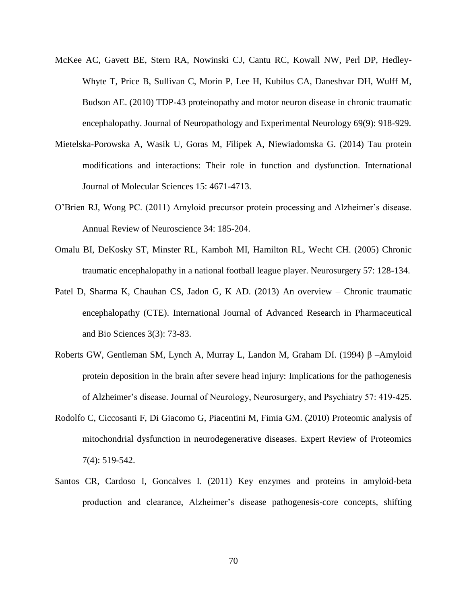- McKee AC, Gavett BE, Stern RA, Nowinski CJ, Cantu RC, Kowall NW, Perl DP, Hedley-Whyte T, Price B, Sullivan C, Morin P, Lee H, Kubilus CA, Daneshvar DH, Wulff M, Budson AE. (2010) TDP-43 proteinopathy and motor neuron disease in chronic traumatic encephalopathy. Journal of Neuropathology and Experimental Neurology 69(9): 918-929.
- Mietelska-Porowska A, Wasik U, Goras M, Filipek A, Niewiadomska G. (2014) Tau protein modifications and interactions: Their role in function and dysfunction. International Journal of Molecular Sciences 15: 4671-4713.
- O'Brien RJ, Wong PC. (2011) Amyloid precursor protein processing and Alzheimer's disease. Annual Review of Neuroscience 34: 185-204.
- Omalu BI, DeKosky ST, Minster RL, Kamboh MI, Hamilton RL, Wecht CH. (2005) Chronic traumatic encephalopathy in a national football league player. Neurosurgery 57: 128-134.
- Patel D, Sharma K, Chauhan CS, Jadon G, K AD. (2013) An overview Chronic traumatic encephalopathy (CTE). International Journal of Advanced Research in Pharmaceutical and Bio Sciences 3(3): 73-83.
- Roberts GW, Gentleman SM, Lynch A, Murray L, Landon M, Graham DI. (1994) β –Amyloid protein deposition in the brain after severe head injury: Implications for the pathogenesis of Alzheimer's disease. Journal of Neurology, Neurosurgery, and Psychiatry 57: 419-425.
- Rodolfo C, Ciccosanti F, Di Giacomo G, Piacentini M, Fimia GM. (2010) Proteomic analysis of mitochondrial dysfunction in neurodegenerative diseases. Expert Review of Proteomics 7(4): 519-542.
- Santos CR, Cardoso I, Goncalves I. (2011) Key enzymes and proteins in amyloid-beta production and clearance, Alzheimer's disease pathogenesis-core concepts, shifting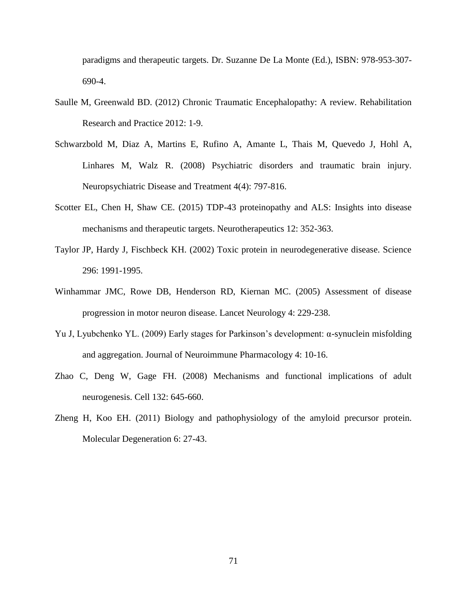paradigms and therapeutic targets. Dr. Suzanne De La Monte (Ed.), ISBN: 978-953-307- 690-4.

- Saulle M, Greenwald BD. (2012) Chronic Traumatic Encephalopathy: A review. Rehabilitation Research and Practice 2012: 1-9.
- Schwarzbold M, Diaz A, Martins E, Rufino A, Amante L, Thais M, Quevedo J, Hohl A, Linhares M, Walz R. (2008) Psychiatric disorders and traumatic brain injury. Neuropsychiatric Disease and Treatment 4(4): 797-816.
- Scotter EL, Chen H, Shaw CE. (2015) TDP-43 proteinopathy and ALS: Insights into disease mechanisms and therapeutic targets. Neurotherapeutics 12: 352-363.
- Taylor JP, Hardy J, Fischbeck KH. (2002) Toxic protein in neurodegenerative disease. Science 296: 1991-1995.
- Winhammar JMC, Rowe DB, Henderson RD, Kiernan MC. (2005) Assessment of disease progression in motor neuron disease. Lancet Neurology 4: 229-238.
- Yu J, Lyubchenko YL. (2009) Early stages for Parkinson's development: α-synuclein misfolding and aggregation. Journal of Neuroimmune Pharmacology 4: 10-16.
- Zhao C, Deng W, Gage FH. (2008) Mechanisms and functional implications of adult neurogenesis. Cell 132: 645-660.
- Zheng H, Koo EH. (2011) Biology and pathophysiology of the amyloid precursor protein. Molecular Degeneration 6: 27-43.